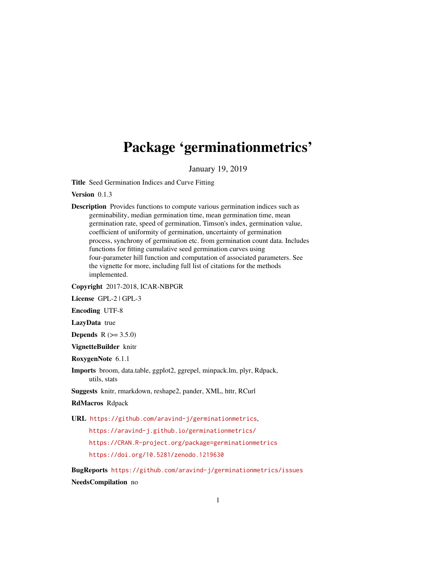# Package 'germinationmetrics'

January 19, 2019

Title Seed Germination Indices and Curve Fitting

Version 0.1.3

Description Provides functions to compute various germination indices such as germinability, median germination time, mean germination time, mean germination rate, speed of germination, Timson's index, germination value, coefficient of uniformity of germination, uncertainty of germination process, synchrony of germination etc. from germination count data. Includes functions for fitting cumulative seed germination curves using four-parameter hill function and computation of associated parameters. See the vignette for more, including full list of citations for the methods implemented.

Copyright 2017-2018, ICAR-NBPGR

License GPL-2 | GPL-3

Encoding UTF-8

LazyData true

**Depends**  $R (= 3.5.0)$ 

VignetteBuilder knitr

RoxygenNote 6.1.1

Imports broom, data.table, ggplot2, ggrepel, minpack.lm, plyr, Rdpack, utils, stats

Suggests knitr, rmarkdown, reshape2, pander, XML, httr, RCurl

RdMacros Rdpack

URL <https://github.com/aravind-j/germinationmetrics>,

<https://aravind-j.github.io/germinationmetrics/> <https://CRAN.R-project.org/package=germinationmetrics> <https://doi.org/10.5281/zenodo.1219630>

BugReports <https://github.com/aravind-j/germinationmetrics/issues> NeedsCompilation no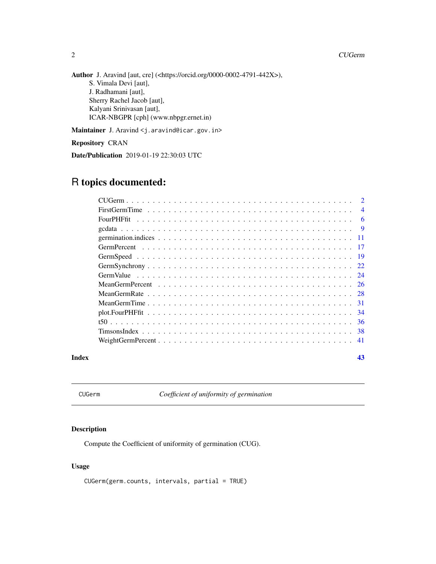# 2 and 2 current control of the control of the control of the control of the control of the control of the control of the control of the control of the control of the control of the control of the control of the control of

Author J. Aravind [aut, cre] (<https://orcid.org/0000-0002-4791-442X>), S. Vimala Devi [aut], J. Radhamani [aut], Sherry Rachel Jacob [aut], Kalyani Srinivasan [aut], ICAR-NBGPR [cph] (www.nbpgr.ernet.in)

Maintainer J. Aravind <j.aravind@icar.gov.in>

Repository CRAN

Date/Publication 2019-01-19 22:30:03 UTC

# R topics documented:

|       | $\overline{4}$ |
|-------|----------------|
|       | -6             |
|       |                |
|       |                |
|       |                |
|       |                |
|       |                |
|       |                |
|       |                |
|       |                |
|       |                |
|       |                |
|       |                |
|       |                |
|       |                |
| Index | 43             |

<span id="page-1-1"></span>CUGerm *Coefficient of uniformity of germination*

# Description

Compute the Coefficient of uniformity of germination (CUG).

# Usage

CUGerm(germ.counts, intervals, partial = TRUE)

<span id="page-1-0"></span>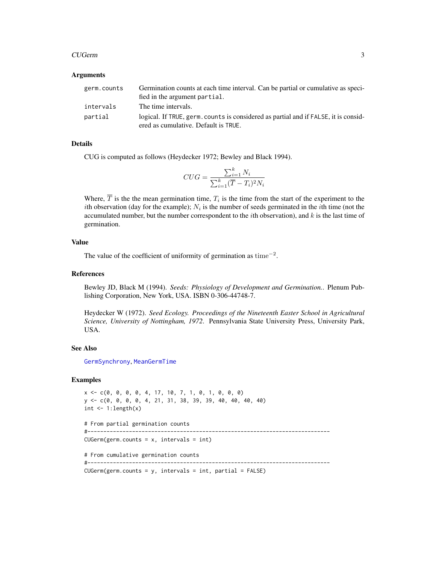# <span id="page-2-0"></span>CUGerm 3

# Arguments

| germ.counts | Germination counts at each time interval. Can be partial or cumulative as speci-<br>fied in the argument partial.           |
|-------------|-----------------------------------------------------------------------------------------------------------------------------|
| intervals   | The time intervals.                                                                                                         |
| partial     | logical. If TRUE, germ, counts is considered as partial and if FALSE, it is consid-<br>ered as cumulative. Default is TRUE. |

# Details

CUG is computed as follows (Heydecker 1972; Bewley and Black 1994).

$$
CUG = \frac{\sum_{i=1}^{k} N_i}{\sum_{i=1}^{k} (\overline{T} - T_i)^2 N_i}
$$

Where,  $T$  is the the mean germination time,  $T_i$  is the time from the start of the experiment to the *i*th observation (day for the example);  $N_i$  is the number of seeds germinated in the *i*th time (not the accumulated number, but the number correspondent to the *i*th observation), and  $k$  is the last time of germination.

# Value

The value of the coefficient of uniformity of germination as time<sup> $-2$ </sup>.

# References

Bewley JD, Black M (1994). *Seeds: Physiology of Development and Germination.*. Plenum Publishing Corporation, New York, USA. ISBN 0-306-44748-7.

Heydecker W (1972). *Seed Ecology. Proceedings of the Nineteenth Easter School in Agricultural Science, University of Nottingham, 1972*. Pennsylvania State University Press, University Park, USA.

# See Also

[GermSynchrony](#page-21-1), [MeanGermTime](#page-30-1)

# Examples

```
x <- c(0, 0, 0, 0, 4, 17, 10, 7, 1, 0, 1, 0, 0, 0)
y <- c(0, 0, 0, 0, 4, 21, 31, 38, 39, 39, 40, 40, 40, 40)
int \leftarrow 1:length(x)
# From partial germination counts
#----------------------------------------------------------------------------
CUGerm(germ.counts = x, intervals = int)# From cumulative germination counts
#----------------------------------------------------------------------------
CUGerm(germ.counts = y, intervals = int, partial = FALSE)
```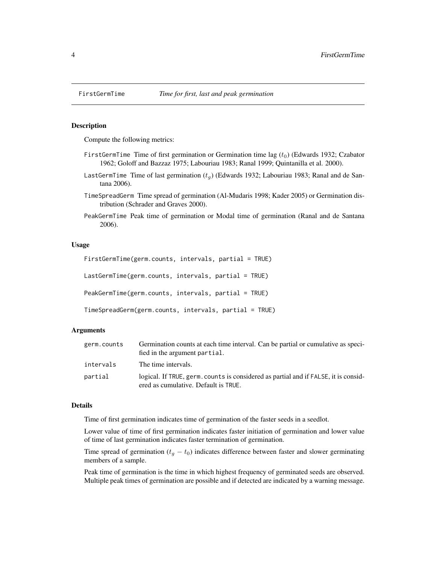# <span id="page-3-2"></span>Description

Compute the following metrics:

- FirstGermTime Time of first germination or Germination time lag  $(t_0)$  (Edwards 1932; Czabator 1962; Goloff and Bazzaz 1975; Labouriau 1983; Ranal 1999; Quintanilla et al. 2000).
- LastGermTime Time of last germination  $(t_q)$  (Edwards 1932; Labouriau 1983; Ranal and de Santana 2006).
- TimeSpreadGerm Time spread of germination (Al-Mudaris 1998; Kader 2005) or Germination distribution (Schrader and Graves 2000).
- PeakGermTime Peak time of germination or Modal time of germination (Ranal and de Santana 2006).

#### Usage

```
FirstGermTime(germ.counts, intervals, partial = TRUE)
LastGermTime(germ.counts, intervals, partial = TRUE)
PeakGermTime(germ.counts, intervals, partial = TRUE)
TimeSpreadGerm(germ.counts, intervals, partial = TRUE)
```
# Arguments

| germ.counts | Germination counts at each time interval. Can be partial or cumulative as speci-<br>fied in the argument partial.           |
|-------------|-----------------------------------------------------------------------------------------------------------------------------|
| intervals   | The time intervals.                                                                                                         |
| partial     | logical. If TRUE, germ. counts is considered as partial and if FALSE, it is consid-<br>ered as cumulative. Default is TRUE. |

#### Details

Time of first germination indicates time of germination of the faster seeds in a seedlot.

Lower value of time of first germination indicates faster initiation of germination and lower value of time of last germination indicates faster termination of germination.

Time spread of germination ( $t_g - t_0$ ) indicates difference between faster and slower germinating members of a sample.

Peak time of germination is the time in which highest frequency of germinated seeds are observed. Multiple peak times of germination are possible and if detected are indicated by a warning message.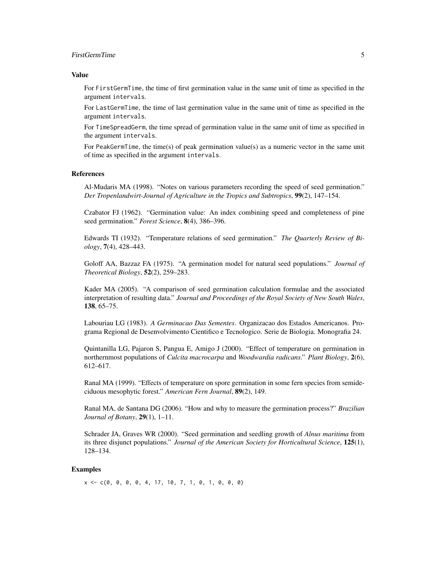# FirstGermTime 5

#### Value

For FirstGermTime, the time of first germination value in the same unit of time as specified in the argument intervals.

For LastGermTime, the time of last germination value in the same unit of time as specified in the argument intervals.

For TimeSpreadGerm, the time spread of germination value in the same unit of time as specified in the argument intervals.

For PeakGermTime, the time(s) of peak germination value(s) as a numeric vector in the same unit of time as specified in the argument intervals.

# References

Al-Mudaris MA (1998). "Notes on various parameters recording the speed of seed germination." *Der Tropenlandwirt-Journal of Agriculture in the Tropics and Subtropics*, 99(2), 147–154.

Czabator FJ (1962). "Germination value: An index combining speed and completeness of pine seed germination." *Forest Science*, 8(4), 386–396.

Edwards TI (1932). "Temperature relations of seed germination." *The Quarterly Review of Biology*, 7(4), 428–443.

Goloff AA, Bazzaz FA (1975). "A germination model for natural seed populations." *Journal of Theoretical Biology*, 52(2), 259–283.

Kader MA (2005). "A comparison of seed germination calculation formulae and the associated interpretation of resulting data." *Journal and Proceedings of the Royal Society of New South Wales*, 138, 65–75.

Labouriau LG (1983). *A Germinacao Das Sementes*. Organizacao dos Estados Americanos. Programa Regional de Desenvolvimento Cientifico e Tecnologico. Serie de Biologia. Monografia 24.

Quintanilla LG, Pajaron S, Pangua E, Amigo J (2000). "Effect of temperature on germination in northernmost populations of *Culcita macrocarpa* and *Woodwardia radicans*." *Plant Biology*, 2(6), 612–617.

Ranal MA (1999). "Effects of temperature on spore germination in some fern species from semideciduous mesophytic forest." *American Fern Journal*, 89(2), 149.

Ranal MA, de Santana DG (2006). "How and why to measure the germination process?" *Brazilian Journal of Botany*, 29(1), 1–11.

Schrader JA, Graves WR (2000). "Seed germination and seedling growth of *Alnus maritima* from its three disjunct populations." *Journal of the American Society for Horticultural Science*, 125(1), 128–134.

# Examples

 $x \leq -c(0, 0, 0, 0, 4, 17, 10, 7, 1, 0, 1, 0, 0, 0)$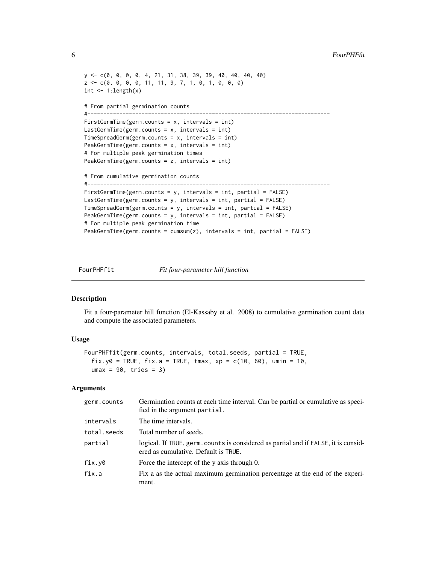```
y <- c(0, 0, 0, 0, 4, 21, 31, 38, 39, 39, 40, 40, 40, 40)
z \leq c(0, 0, 0, 0, 11, 11, 9, 7, 1, 0, 1, 0, 0, 0)int \leftarrow 1:length(x)# From partial germination counts
#----------------------------------------------------------------------------
FirstGermTime(germ.counts = x, intervals = int)
LastGermTime(germ.counts = x, intervals = int)
TimeSpreadGerm(germ.counts = x, intervals = int)
PeakGermTime(germ.counts = x, intervals = int)
# For multiple peak germination times
PeakGermTime(germ.counts = z, intervals = int)
# From cumulative germination counts
#----------------------------------------------------------------------------
FirstGermTime(germ.counts = y, intervals = int, partial = FALSE)
LastGermTime(germ.counts = y, intervals = int, partial = FALSE)
TimeSpreadGerm(germ.counts = y, intervals = int, partial = FALSE)
PeakGermTime(germ.counts = y, intervals = int, partial = FALSE)
# For multiple peak germination time
PeakGermTime(germ.counts = cumsum(z), intervals = int, partial = FALSE)
```
<span id="page-5-1"></span>

FourPHFfit *Fit four-parameter hill function*

# Description

Fit a four-parameter hill function (El-Kassaby et al. 2008) to cumulative germination count data and compute the associated parameters.

# Usage

```
FourPHFfit(germ.counts, intervals, total.seeds, partial = TRUE,
  fix.y0 = TRUE, fix.a = TRUE, tmax, xp = c(10, 60), umin = 10,
 umax = 90, tries = 3)
```
# Arguments

| germ.counts | Germination counts at each time interval. Can be partial or cumulative as speci-<br>fied in the argument partial.           |
|-------------|-----------------------------------------------------------------------------------------------------------------------------|
| intervals   | The time intervals.                                                                                                         |
| total.seeds | Total number of seeds.                                                                                                      |
| partial     | logical. If TRUE, germ, counts is considered as partial and if FALSE, it is consid-<br>ered as cumulative. Default is TRUE. |
| fix.y0      | Force the intercept of the y axis through 0.                                                                                |
| fix.a       | Fix a as the actual maximum germination percentage at the end of the experi-<br>ment.                                       |

<span id="page-5-0"></span>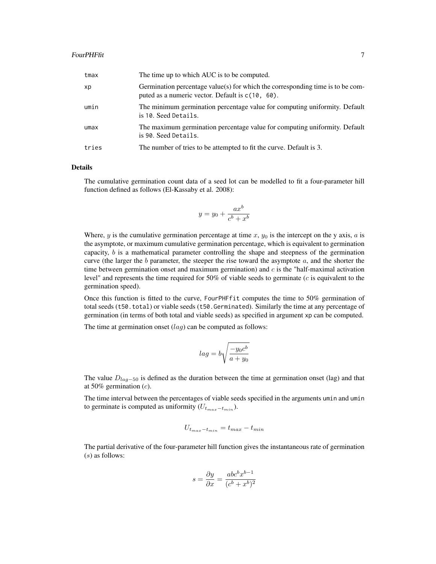| tmax  | The time up to which AUC is to be computed.                                                                                           |
|-------|---------------------------------------------------------------------------------------------------------------------------------------|
| xp    | Germination percentage value(s) for which the corresponding time is to be com-<br>puted as a numeric vector. Default is $c(10, 60)$ . |
| umin  | The minimum germination percentage value for computing uniformity. Default<br>is 10. Seed Details.                                    |
| umax  | The maximum germination percentage value for computing uniformity. Default<br>is 90. Seed Details.                                    |
| tries | The number of tries to be attempted to fit the curve. Default is 3.                                                                   |

# Details

The cumulative germination count data of a seed lot can be modelled to fit a four-parameter hill function defined as follows (El-Kassaby et al. 2008):

$$
y = y_0 + \frac{ax^b}{c^b + x^b}
$$

Where, y is the cumulative germination percentage at time  $x$ ,  $y_0$  is the intercept on the y axis, a is the asymptote, or maximum cumulative germination percentage, which is equivalent to germination capacity,  $b$  is a mathematical parameter controlling the shape and steepness of the germination curve (the larger the  $b$  parameter, the steeper the rise toward the asymptote  $a$ , and the shorter the time between germination onset and maximum germination) and  $c$  is the "half-maximal activation level" and represents the time required for 50% of viable seeds to germinate  $(c$  is equivalent to the germination speed).

Once this function is fitted to the curve, FourPHFfit computes the time to 50% germination of total seeds (t50.total) or viable seeds (t50.Germinated). Similarly the time at any percentage of germination (in terms of both total and viable seeds) as specified in argument xp can be computed.

The time at germination onset  $(laq)$  can be computed as follows:

$$
lag = b \sqrt{\frac{-y_0 c^b}{a + y_0}}
$$

The value  $D_{lag-50}$  is defined as the duration between the time at germination onset (lag) and that at 50% germination  $(c)$ .

The time interval between the percentages of viable seeds specified in the arguments umin and umin to germinate is computed as uniformity  $(U_{t_{max}-t_{min}})$ .

$$
U_{t_{max}-t_{min}} = t_{max} - t_{min}
$$

The partial derivative of the four-parameter hill function gives the instantaneous rate of germination (s) as follows:

$$
s = \frac{\partial y}{\partial x} = \frac{abc^b x^{b-1}}{(c^b + x^b)^2}
$$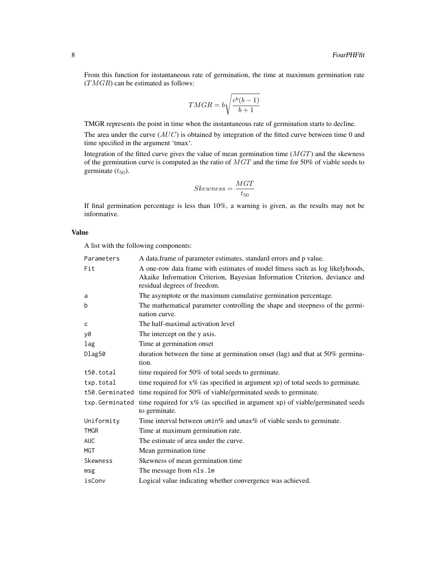From this function for instantaneous rate of germination, the time at maximum germination rate  $(TMGR)$  can be estimated as follows:

$$
T MGR = b \sqrt{\frac{c^b (b-1)}{b+1}}
$$

TMGR represents the point in time when the instantaneous rate of germination starts to decline.

The area under the curve  $(AUC)$  is obtained by integration of the fitted curve between time 0 and time specified in the argument 'tmax'.

Integration of the fitted curve gives the value of mean germination time  $(MGT)$  and the skewness of the germination curve is computed as the ratio of  $MGT$  and the time for 50% of viable seeds to germinate  $(t_{50})$ .

$$
Skewness = \frac{MGT}{t_{50}}
$$

If final germination percentage is less than 10%, a warning is given, as the results may not be informative.

# Value

A list with the following components:

| Parameters     | A data.frame of parameter estimates, standard errors and p value.                                                                                                                           |
|----------------|---------------------------------------------------------------------------------------------------------------------------------------------------------------------------------------------|
| Fit            | A one-row data frame with estimates of model fitness such as log likelyhoods,<br>Akaike Information Criterion, Bayesian Information Criterion, deviance and<br>residual degrees of freedom. |
| a              | The asymptote or the maximum cumulative germination percentage.                                                                                                                             |
| b              | The mathematical parameter controlling the shape and steepness of the germi-<br>nation curve.                                                                                               |
| c              | The half-maximal activation level                                                                                                                                                           |
| y0             | The intercept on the y axis.                                                                                                                                                                |
| lag            | Time at germination onset                                                                                                                                                                   |
| Dlag50         | duration between the time at germination onset (lag) and that at 50% germina-<br>tion.                                                                                                      |
| t50.total      | time required for 50% of total seeds to germinate.                                                                                                                                          |
| txp.total      | time required for $x\%$ (as specified in argument $xp$ ) of total seeds to germinate.                                                                                                       |
|                | t50. Germinated time required for 50% of viable/germinated seeds to germinate.                                                                                                              |
| txp.Germinated | time required for $x\%$ (as specified in argument xp) of viable/germinated seeds<br>to germinate.                                                                                           |
| Uniformity     | Time interval between $\text{umin}\%$ and $\text{umax}\%$ of viable seeds to germinate.                                                                                                     |
| <b>TMGR</b>    | Time at maximum germination rate.                                                                                                                                                           |
| <b>AUC</b>     | The estimate of area under the curve.                                                                                                                                                       |
| MGT            | Mean germination time                                                                                                                                                                       |
| Skewness       | Skewness of mean germination time                                                                                                                                                           |
| msg            | The message from nls.lm                                                                                                                                                                     |
| isConv         | Logical value indicating whether convergence was achieved.                                                                                                                                  |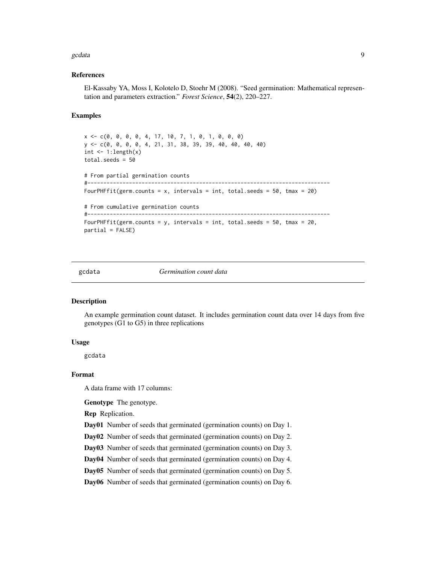#### <span id="page-8-0"></span> $\alpha$  gcdata  $\beta$

# References

El-Kassaby YA, Moss I, Kolotelo D, Stoehr M (2008). "Seed germination: Mathematical representation and parameters extraction." *Forest Science*, 54(2), 220–227.

# Examples

```
x <- c(0, 0, 0, 0, 4, 17, 10, 7, 1, 0, 1, 0, 0, 0)
y <- c(0, 0, 0, 0, 4, 21, 31, 38, 39, 39, 40, 40, 40, 40)
int \leq -1: length(x)total.seeds = 50
# From partial germination counts
#----------------------------------------------------------------------------
FourPHFfit(germ.counts = x, intervals = int, total.seeds = 50, tmax = 20)
# From cumulative germination counts
#----------------------------------------------------------------------------
FourPHFfit(germ.counts = y, intervals = int, total.seeds = 50, tmax = 20,
partial = FALSE)
```
gcdata *Germination count data*

# Description

An example germination count dataset. It includes germination count data over 14 days from five genotypes (G1 to G5) in three replications

# Usage

gcdata

# Format

A data frame with 17 columns:

Genotype The genotype.

Rep Replication.

Day01 Number of seeds that germinated (germination counts) on Day 1.

Day02 Number of seeds that germinated (germination counts) on Day 2.

Day03 Number of seeds that germinated (germination counts) on Day 3.

Day04 Number of seeds that germinated (germination counts) on Day 4.

Day05 Number of seeds that germinated (germination counts) on Day 5.

Day06 Number of seeds that germinated (germination counts) on Day 6.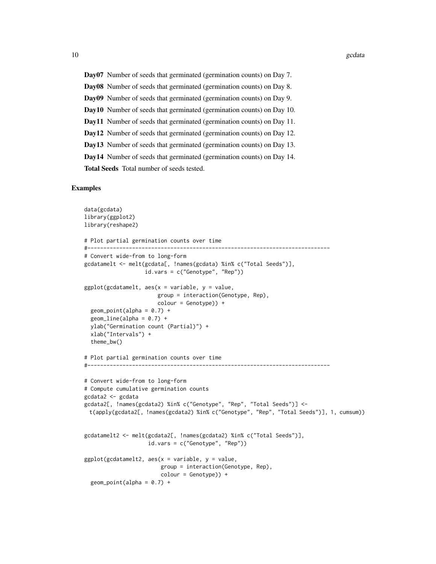Day07 Number of seeds that germinated (germination counts) on Day 7. Day08 Number of seeds that germinated (germination counts) on Day 8. Day09 Number of seeds that germinated (germination counts) on Day 9. Day10 Number of seeds that germinated (germination counts) on Day 10. Day11 Number of seeds that germinated (germination counts) on Day 11. Day12 Number of seeds that germinated (germination counts) on Day 12. Day13 Number of seeds that germinated (germination counts) on Day 13. Day14 Number of seeds that germinated (germination counts) on Day 14. Total Seeds Total number of seeds tested.

# Examples

```
data(gcdata)
library(ggplot2)
library(reshape2)
# Plot partial germination counts over time
#----------------------------------------------------------------------------
# Convert wide-from to long-form
gcdatamelt <- melt(gcdata[, !names(gcdata) %in% c("Total Seeds")],
                   id.vars = c("Genotype", "Rep"))
ggplot(gcdatamelt, aes(x = variable, y = value,group = interaction(Genotype, Rep),
                       colour = Genotype)) +
  geom\_point(alpha = 0.7) +
  geom\_line(alpha = 0.7) +
  ylab("Germination count (Partial)") +
  xlab("Intervals") +
  theme_bw()
# Plot partial germination counts over time
#----------------------------------------------------------------------------
# Convert wide-from to long-form
# Compute cumulative germination counts
gcdata2 <- gcdata
gcdata2[, !names(gcdata2) %in% c("Genotype", "Rep", "Total Seeds")] <-
 t(apply(gcdata2[, !names(gcdata2) %in% c("Genotype", "Rep", "Total Seeds")], 1, cumsum))
gcdatamelt2 <- melt(gcdata2[, !names(gcdata2) %in% c("Total Seeds")],
                    id.vars = c("Genotype", "Rep"))
ggplot(gcdatamelt2, aes(x = variable, y = value,group = interaction(Genotype, Rep),
                        colour = Genotype)) +
  geom\_point(alpha = 0.7) +
```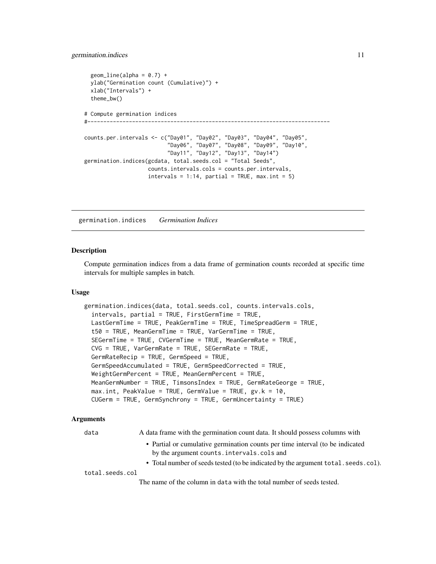# <span id="page-10-0"></span>germination.indices 11

```
geom\_line(alpha = 0.7) +
 ylab("Germination count (Cumulative)") +
 xlab("Intervals") +
 theme_bw()
# Compute germination indices
#----------------------------------------------------------------------------
counts.per.intervals <- c("Day01", "Day02", "Day03", "Day04", "Day05",
                          "Day06", "Day07", "Day08", "Day09", "Day10",
                          "Day11", "Day12", "Day13", "Day14")
germination.indices(gcdata, total.seeds.col = "Total Seeds",
                    counts.intervals.cols = counts.per.intervals,
                    intervals = 1:14, partial = TRUE, max.int = 5)
```
germination.indices *Germination Indices*

# Description

Compute germination indices from a data frame of germination counts recorded at specific time intervals for multiple samples in batch.

# Usage

```
germination.indices(data, total.seeds.col, counts.intervals.cols,
  intervals, partial = TRUE, FirstGermTime = TRUE,
 LastGermTime = TRUE, PeakGermTime = TRUE, TimeSpreadGerm = TRUE,
  t50 = TRUE, MeanGermTime = TRUE, VarGermTime = TRUE,
  SEGermTime = TRUE, CVGermTime = TRUE, MeanGermRate = TRUE,
  CVG = TRUE, VarGermRate = TRUE, SEGermRate = TRUE,
  GermRateRecip = TRUE, GermSpeed = TRUE,
  GermSpeedAccumulated = TRUE, GermSpeedCorrected = TRUE,
 WeightGermPercent = TRUE, MeanGermPercent = TRUE,
 MeanGermNumber = TRUE, TimsonsIndex = TRUE, GermRateGeorge = TRUE,
 max.int, PeakValue = TRUE, GermValue = TRUE, gv.k = 10,
 CUGerm = TRUE, GermSynchrony = TRUE, GermUncertainty = TRUE)
```
# Arguments

| data            | A data frame with the germination count data. It should possess columns with                                                 |  |
|-----------------|------------------------------------------------------------------------------------------------------------------------------|--|
|                 | • Partial or cumulative germination counts per time interval (to be indicated<br>by the argument counts. intervals. cols and |  |
|                 | • Total number of seeds tested (to be indicated by the argument total. seeds. col).                                          |  |
| total.seeds.col |                                                                                                                              |  |
|                 | The name of the column in data with the total number of seeds tested.                                                        |  |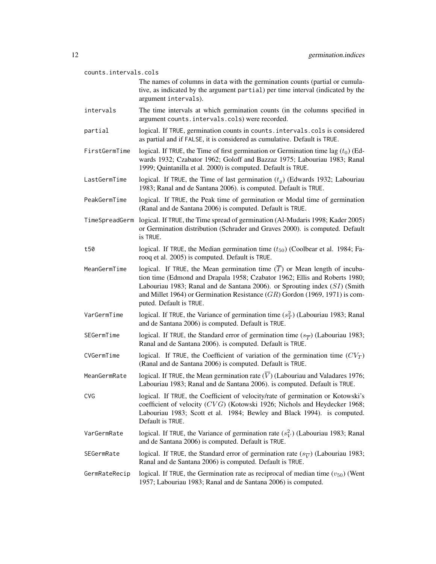#### counts.intervals.cols

- The names of columns in data with the germination counts (partial or cumulative, as indicated by the argument partial) per time interval (indicated by the argument intervals).
- intervals The time intervals at which germination counts (in the columns specified in argument counts.intervals.cols) were recorded.
- partial logical. If TRUE, germination counts in counts. intervals.cols is considered as partial and if FALSE, it is considered as cumulative. Default is TRUE.
- FirstGermTime logical. If TRUE, the Time of first germination or Germination time lag  $(t_0)$  (Edwards 1932; Czabator 1962; Goloff and Bazzaz 1975; Labouriau 1983; Ranal 1999; Quintanilla et al. 2000) is computed. Default is TRUE.
- LastGermTime logical. If TRUE, the Time of last germination  $(t_q)$  (Edwards 1932; Labouriau 1983; Ranal and de Santana 2006). is computed. Default is TRUE.
- PeakGermTime logical. If TRUE, the Peak time of germination or Modal time of germination (Ranal and de Santana 2006) is computed. Default is TRUE.
- TimeSpreadGerm logical. If TRUE, the Time spread of germination (Al-Mudaris 1998; Kader 2005) or Germination distribution (Schrader and Graves 2000). is computed. Default is TRUE.
- t50 logical. If TRUE, the Median germination time  $(t_{50})$  (Coolbear et al. 1984; Farooq et al. 2005) is computed. Default is TRUE.
- MeanGermTime logical. If TRUE, the Mean germination time  $(\overline{T})$  or Mean length of incubation time (Edmond and Drapala 1958; Czabator 1962; Ellis and Roberts 1980; Labouriau 1983; Ranal and de Santana 2006). or Sprouting index (SI) (Smith and Millet 1964) or Germination Resistance  $(GR)$  Gordon (1969, 1971) is computed. Default is TRUE.
- VarGermTime logical. If TRUE, the Variance of germination time  $(s_T^2)$  (Labouriau 1983; Ranal and de Santana 2006) is computed. Default is TRUE.
- SEGermTime logical. If TRUE, the Standard error of germination time  $(s_{\overline{T}})$  (Labouriau 1983; Ranal and de Santana 2006). is computed. Default is TRUE.
- CVGermTime logical. If TRUE, the Coefficient of variation of the germination time  $(CV_T)$ (Ranal and de Santana 2006) is computed. Default is TRUE.
- MeanGermRate logical. If TRUE, the Mean germination rate  $(\overline{V})$  (Labouriau and Valadares 1976; Labouriau 1983; Ranal and de Santana 2006). is computed. Default is TRUE.
- CVG logical. If TRUE, the Coefficient of velocity/rate of germination or Kotowski's coefficient of velocity (CVG) (Kotowski 1926; Nichols and Heydecker 1968; Labouriau 1983; Scott et al. 1984; Bewley and Black 1994). is computed. Default is TRUE.
- VarGermRate logical. If TRUE, the Variance of germination rate  $(s_V^2)$  (Labouriau 1983; Ranal and de Santana 2006) is computed. Default is TRUE.
- SEGermRate logical. If TRUE, the Standard error of germination rate  $(s_{\overline{V}})$  (Labouriau 1983; Ranal and de Santana 2006) is computed. Default is TRUE.
- GermRateRecip logical. If TRUE, the Germination rate as reciprocal of median time  $(v_{50})$  (Went 1957; Labouriau 1983; Ranal and de Santana 2006) is computed.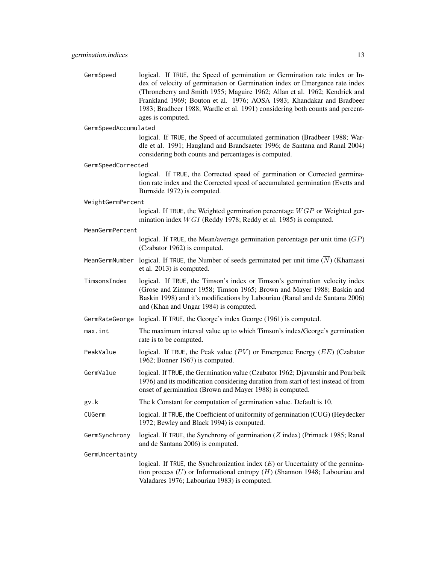GermSpeed logical. If TRUE, the Speed of germination or Germination rate index or Index of velocity of germination or Germination index or Emergence rate index (Throneberry and Smith 1955; Maguire 1962; Allan et al. 1962; Kendrick and Frankland 1969; Bouton et al. 1976; AOSA 1983; Khandakar and Bradbeer 1983; Bradbeer 1988; Wardle et al. 1991) considering both counts and percentages is computed.

# GermSpeedAccumulated

logical. If TRUE, the Speed of accumulated germination (Bradbeer 1988; Wardle et al. 1991; Haugland and Brandsaeter 1996; de Santana and Ranal 2004) considering both counts and percentages is computed.

GermSpeedCorrected

logical. If TRUE, the Corrected speed of germination or Corrected germination rate index and the Corrected speed of accumulated germination (Evetts and Burnside 1972) is computed.

#### WeightGermPercent

logical. If TRUE, the Weighted germination percentage  $WGP$  or Weighted germination index  $WGI$  (Reddy 1978; Reddy et al. 1985) is computed.

#### MeanGermPercent

logical. If TRUE, the Mean/average germination percentage per unit time  $(GP)$ (Czabator 1962) is computed.

- MeanGermNumber logical. If TRUE, the Number of seeds germinated per unit time  $(\overline{N})$  (Khamassi et al. 2013) is computed.
- TimsonsIndex logical. If TRUE, the Timson's index or Timson's germination velocity index (Grose and Zimmer 1958; Timson 1965; Brown and Mayer 1988; Baskin and Baskin 1998) and it's modifications by Labouriau (Ranal and de Santana 2006) and (Khan and Ungar 1984) is computed.
- GermRateGeorge logical. If TRUE, the George's index George (1961) is computed.
- max.int The maximum interval value up to which Timson's index/George's germination rate is to be computed.
- PeakValue logical. If TRUE, the Peak value  $(PV)$  or Emergence Energy  $(EE)$  (Czabator 1962; Bonner 1967) is computed.
- GermValue logical. If TRUE, the Germination value (Czabator 1962; Djavanshir and Pourbeik 1976) and its modification considering duration from start of test instead of from onset of germination (Brown and Mayer 1988) is computed.
- gv.k The k Constant for computation of germination value. Default is 10.
- CUGerm logical. If TRUE, the Coefficient of uniformity of germination (CUG) (Heydecker 1972; Bewley and Black 1994) is computed.
- GermSynchrony logical. If TRUE, the Synchrony of germination  $(Z \text{ index})$  (Primack 1985; Ranal and de Santana 2006) is computed.

GermUncertainty

logical. If TRUE, the Synchronization index  $(E)$  or Uncertainty of the germination process  $(U)$  or Informational entropy  $(H)$  (Shannon 1948; Labouriau and Valadares 1976; Labouriau 1983) is computed.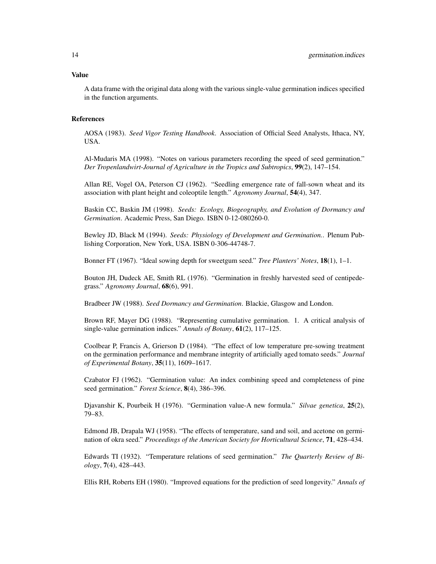#### Value

A data frame with the original data along with the various single-value germination indices specified in the function arguments.

# References

AOSA (1983). *Seed Vigor Testing Handbook*. Association of Official Seed Analysts, Ithaca, NY, USA.

Al-Mudaris MA (1998). "Notes on various parameters recording the speed of seed germination." *Der Tropenlandwirt-Journal of Agriculture in the Tropics and Subtropics*, 99(2), 147–154.

Allan RE, Vogel OA, Peterson CJ (1962). "Seedling emergence rate of fall-sown wheat and its association with plant height and coleoptile length." *Agronomy Journal*, 54(4), 347.

Baskin CC, Baskin JM (1998). *Seeds: Ecology, Biogeography, and Evolution of Dormancy and Germination*. Academic Press, San Diego. ISBN 0-12-080260-0.

Bewley JD, Black M (1994). *Seeds: Physiology of Development and Germination.*. Plenum Publishing Corporation, New York, USA. ISBN 0-306-44748-7.

Bonner FT (1967). "Ideal sowing depth for sweetgum seed." *Tree Planters' Notes*, 18(1), 1–1.

Bouton JH, Dudeck AE, Smith RL (1976). "Germination in freshly harvested seed of centipedegrass." *Agronomy Journal*, 68(6), 991.

Bradbeer JW (1988). *Seed Dormancy and Germination*. Blackie, Glasgow and London.

Brown RF, Mayer DG (1988). "Representing cumulative germination. 1. A critical analysis of single-value germination indices." *Annals of Botany*, 61(2), 117–125.

Coolbear P, Francis A, Grierson D (1984). "The effect of low temperature pre-sowing treatment on the germination performance and membrane integrity of artificially aged tomato seeds." *Journal of Experimental Botany*, 35(11), 1609–1617.

Czabator FJ (1962). "Germination value: An index combining speed and completeness of pine seed germination." *Forest Science*, 8(4), 386–396.

Djavanshir K, Pourbeik H (1976). "Germination value-A new formula." *Silvae genetica*, 25(2), 79–83.

Edmond JB, Drapala WJ (1958). "The effects of temperature, sand and soil, and acetone on germination of okra seed." *Proceedings of the American Society for Horticultural Science*, 71, 428–434.

Edwards TI (1932). "Temperature relations of seed germination." *The Quarterly Review of Biology*, 7(4), 428–443.

Ellis RH, Roberts EH (1980). "Improved equations for the prediction of seed longevity." *Annals of*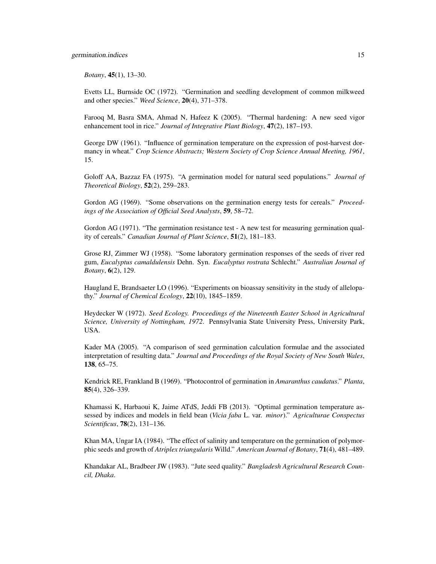# germination.indices 15

*Botany*, 45(1), 13–30.

Evetts LL, Burnside OC (1972). "Germination and seedling development of common milkweed and other species." *Weed Science*, 20(4), 371–378.

Farooq M, Basra SMA, Ahmad N, Hafeez K (2005). "Thermal hardening: A new seed vigor enhancement tool in rice." *Journal of Integrative Plant Biology*, 47(2), 187–193.

George DW (1961). "Influence of germination temperature on the expression of post-harvest dormancy in wheat." *Crop Science Abstracts; Western Society of Crop Science Annual Meeting, 1961*, 15.

Goloff AA, Bazzaz FA (1975). "A germination model for natural seed populations." *Journal of Theoretical Biology*, 52(2), 259–283.

Gordon AG (1969). "Some observations on the germination energy tests for cereals." *Proceedings of the Association of Official Seed Analysts*, 59, 58–72.

Gordon AG (1971). "The germination resistance test - A new test for measuring germination quality of cereals." *Canadian Journal of Plant Science*, 51(2), 181–183.

Grose RJ, Zimmer WJ (1958). "Some laboratory germination responses of the seeds of river red gum, *Eucalyptus camaldulensis* Dehn. Syn. *Eucalyptus rostrata* Schlecht." *Australian Journal of Botany*, 6(2), 129.

Haugland E, Brandsaeter LO (1996). "Experiments on bioassay sensitivity in the study of allelopathy." *Journal of Chemical Ecology*, 22(10), 1845–1859.

Heydecker W (1972). *Seed Ecology. Proceedings of the Nineteenth Easter School in Agricultural Science, University of Nottingham, 1972*. Pennsylvania State University Press, University Park, USA.

Kader MA (2005). "A comparison of seed germination calculation formulae and the associated interpretation of resulting data." *Journal and Proceedings of the Royal Society of New South Wales*, 138, 65–75.

Kendrick RE, Frankland B (1969). "Photocontrol of germination in *Amaranthus caudatus*." *Planta*, 85(4), 326–339.

Khamassi K, Harbaoui K, Jaime ATdS, Jeddi FB (2013). "Optimal germination temperature assessed by indices and models in field bean (*Vicia faba* L. var. *minor*)." *Agriculturae Conspectus Scientificus*, 78(2), 131–136.

Khan MA, Ungar IA (1984). "The effect of salinity and temperature on the germination of polymorphic seeds and growth of *Atriplex triangularis* Willd." *American Journal of Botany*, 71(4), 481–489.

Khandakar AL, Bradbeer JW (1983). "Jute seed quality." *Bangladesh Agricultural Research Council, Dhaka*.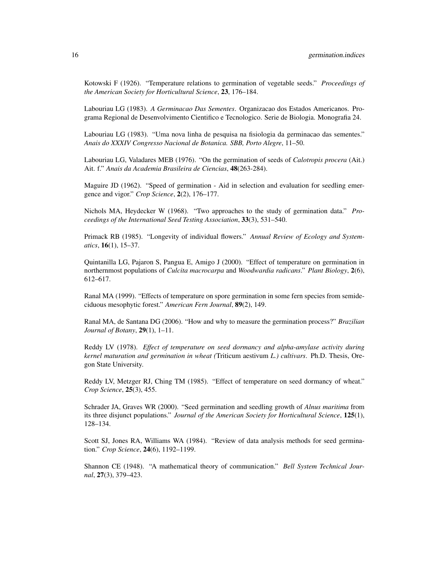Kotowski F (1926). "Temperature relations to germination of vegetable seeds." *Proceedings of the American Society for Horticultural Science*, 23, 176–184.

Labouriau LG (1983). *A Germinacao Das Sementes*. Organizacao dos Estados Americanos. Programa Regional de Desenvolvimento Cientifico e Tecnologico. Serie de Biologia. Monografia 24.

Labouriau LG (1983). "Uma nova linha de pesquisa na fisiologia da germinacao das sementes." *Anais do XXXIV Congresso Nacional de Botanica. SBB, Porto Alegre*, 11–50.

Labouriau LG, Valadares MEB (1976). "On the germination of seeds of *Calotropis procera* (Ait.) Ait. f." *Anais da Academia Brasileira de Ciencias*, 48(263-284).

Maguire JD (1962). "Speed of germination - Aid in selection and evaluation for seedling emergence and vigor." *Crop Science*, 2(2), 176–177.

Nichols MA, Heydecker W (1968). "Two approaches to the study of germination data." *Proceedings of the International Seed Testing Association*, 33(3), 531–540.

Primack RB (1985). "Longevity of individual flowers." *Annual Review of Ecology and Systematics*, 16(1), 15–37.

Quintanilla LG, Pajaron S, Pangua E, Amigo J (2000). "Effect of temperature on germination in northernmost populations of *Culcita macrocarpa* and *Woodwardia radicans*." *Plant Biology*, 2(6), 612–617.

Ranal MA (1999). "Effects of temperature on spore germination in some fern species from semideciduous mesophytic forest." *American Fern Journal*, 89(2), 149.

Ranal MA, de Santana DG (2006). "How and why to measure the germination process?" *Brazilian Journal of Botany*, 29(1), 1–11.

Reddy LV (1978). *Effect of temperature on seed dormancy and alpha-amylase activity during kernel maturation and germination in wheat (*Triticum aestivum *L.) cultivars*. Ph.D. Thesis, Oregon State University.

Reddy LV, Metzger RJ, Ching TM (1985). "Effect of temperature on seed dormancy of wheat." *Crop Science*, 25(3), 455.

Schrader JA, Graves WR (2000). "Seed germination and seedling growth of *Alnus maritima* from its three disjunct populations." *Journal of the American Society for Horticultural Science*, 125(1), 128–134.

Scott SJ, Jones RA, Williams WA (1984). "Review of data analysis methods for seed germination." *Crop Science*, 24(6), 1192–1199.

Shannon CE (1948). "A mathematical theory of communication." *Bell System Technical Journal*, 27(3), 379–423.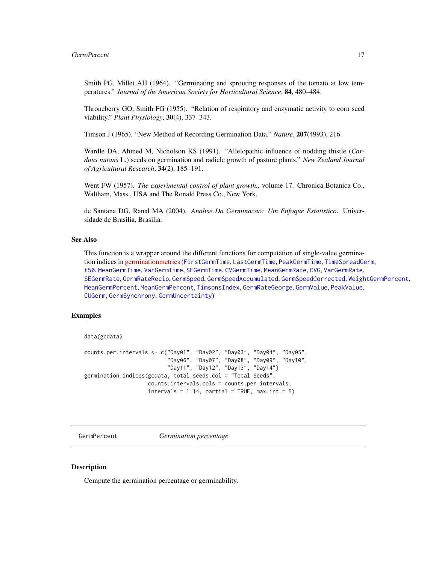<span id="page-16-0"></span>Smith PG, Millet AH (1964). "Germinating and sprouting responses of the tomato at low temperatures." *Journal of the American Society for Horticultural Science*, 84, 480–484.

Throneberry GO, Smith FG (1955). "Relation of respiratory and enzymatic activity to corn seed viability." *Plant Physiology*, 30(4), 337–343.

Timson J (1965). "New Method of Recording Germination Data." *Nature*, 207(4993), 216.

Wardle DA, Ahmed M, Nicholson KS (1991). "Allelopathic influence of nodding thistle (*Carduus nutans* L.) seeds on germination and radicle growth of pasture plants." *New Zealand Journal of Agricultural Research*, 34(2), 185–191.

Went FW (1957). *The experimental control of plant growth.*, volume 17. Chronica Botanica Co., Waltham, Mass., USA and The Ronald Press Co., New York.

de Santana DG, Ranal MA (2004). *Analise Da Germinacao: Um Enfoque Estatistico*. Universidade de Brasilia, Brasilia.

# See Also

This function is a wrapper around the different functions for computation of single-value germination indices in [germinationmetrics](https://cran.r-project.org/package=germinationmetrics)([FirstGermTime](#page-3-1), [LastGermTime](#page-3-2), [PeakGermTime](#page-3-2), [TimeSpreadGerm](#page-3-2), [t50](#page-35-1), [MeanGermTime](#page-30-1), [VarGermTime](#page-30-2), [SEGermTime](#page-30-2), [CVGermTime](#page-30-2), [MeanGermRate](#page-27-1), [CVG](#page-27-2), [VarGermRate](#page-27-2), [SEGermRate](#page-27-2), [GermRateRecip](#page-27-2), [GermSpeed](#page-18-1), [GermSpeedAccumulated](#page-18-2), [GermSpeedCorrected](#page-18-2), [WeightGermPercent](#page-40-1), [MeanGermPercent](#page-25-1), [MeanGermPercent](#page-25-1), [TimsonsIndex](#page-37-1), [GermRateGeorge](#page-37-2), [GermValue](#page-23-1), [PeakValue](#page-23-2), [CUGerm](#page-1-1), [GermSynchrony](#page-21-1), [GermUncertainty](#page-21-2))

# Examples

```
data(gcdata)
```

```
counts.per.intervals <- c("Day01", "Day02", "Day03", "Day04", "Day05",
                          "Day06", "Day07", "Day08", "Day09", "Day10",
                          "Day11", "Day12", "Day13", "Day14")
germination.indices(gcdata, total.seeds.col = "Total Seeds",
                    counts.intervals.cols = counts.per.intervals,
                    intervals = 1:14, partial = TRUE, max.int = 5)
```
<span id="page-16-1"></span>GermPercent *Germination percentage*

# Description

Compute the germination percentage or germinability.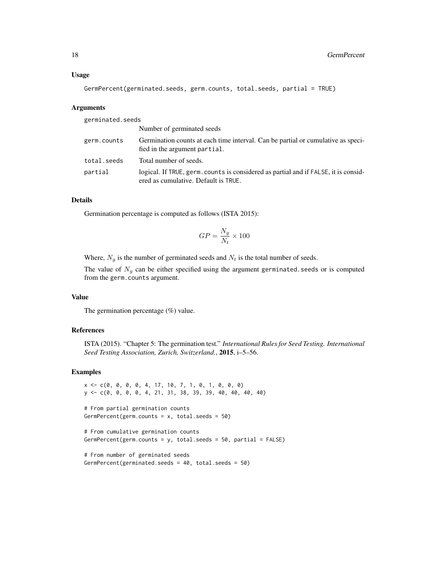GermPercent(germinated.seeds, germ.counts, total.seeds, partial = TRUE)

# Arguments

| germinated.seeds |                                                                                                                             |
|------------------|-----------------------------------------------------------------------------------------------------------------------------|
|                  | Number of germinated seeds                                                                                                  |
| germ.counts      | Germination counts at each time interval. Can be partial or cumulative as speci-<br>fied in the argument partial.           |
| total.seeds      | Total number of seeds.                                                                                                      |
| partial          | logical. If TRUE, germ. counts is considered as partial and if FALSE, it is consid-<br>ered as cumulative. Default is TRUE. |

# Details

Germination percentage is computed as follows (ISTA 2015):

$$
GP = \frac{N_g}{N_t} \times 100
$$

Where,  $N_g$  is the number of germinated seeds and  $N_t$  is the total number of seeds.

The value of  $N_g$  can be either specified using the argument germinated. seeds or is computed from the germ.counts argument.

# Value

The germination percentage (%) value.

# References

ISTA (2015). "Chapter 5: The germination test." *International Rules for Seed Testing. International Seed Testing Association, Zurich, Switzerland.*, 2015, i–5–56.

#### Examples

```
x \leq -c(0, 0, 0, 0, 4, 17, 10, 7, 1, 0, 1, 0, 0, 0)y <- c(0, 0, 0, 0, 4, 21, 31, 38, 39, 39, 40, 40, 40, 40)
# From partial germination counts
GermPercent(germ.counts = x, total.seeds = 50)
# From cumulative germination counts
GermPercent(germ.counts = y, total.seeds = 50, partial = FALSE)
# From number of germinated seeds
```

```
GermPercent(germinated.seeds = 40, total.seeds = 50)
```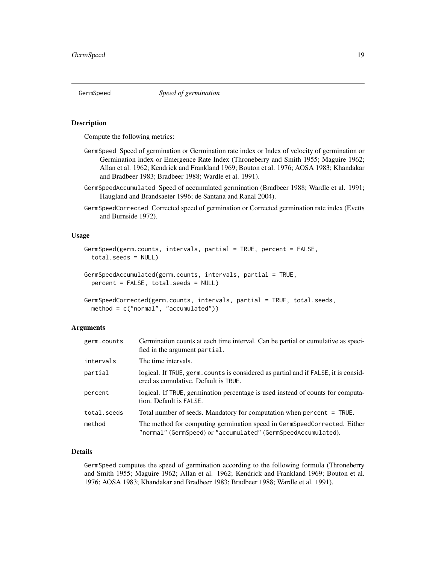<span id="page-18-1"></span><span id="page-18-0"></span>

#### <span id="page-18-2"></span>Description

Compute the following metrics:

- GermSpeed Speed of germination or Germination rate index or Index of velocity of germination or Germination index or Emergence Rate Index (Throneberry and Smith 1955; Maguire 1962; Allan et al. 1962; Kendrick and Frankland 1969; Bouton et al. 1976; AOSA 1983; Khandakar and Bradbeer 1983; Bradbeer 1988; Wardle et al. 1991).
- GermSpeedAccumulated Speed of accumulated germination (Bradbeer 1988; Wardle et al. 1991; Haugland and Brandsaeter 1996; de Santana and Ranal 2004).
- GermSpeedCorrected Corrected speed of germination or Corrected germination rate index (Evetts and Burnside 1972).

# Usage

```
GermSpeed(germ.counts, intervals, partial = TRUE, percent = FALSE,
  total.seeds = NULL)
GermSpeedAccumulated(germ.counts, intervals, partial = TRUE,
  percent = FALSE, total.seeds = NULL)
```

```
GermSpeedCorrected(germ.counts, intervals, partial = TRUE, total.seeds,
 method = c("normal", "accumulated"))
```
# Arguments

| germ.counts | Germination counts at each time interval. Can be partial or cumulative as speci-<br>fied in the argument partial.                         |
|-------------|-------------------------------------------------------------------------------------------------------------------------------------------|
| intervals   | The time intervals.                                                                                                                       |
| partial     | logical. If TRUE, germ. counts is considered as partial and if FALSE, it is consid-<br>ered as cumulative. Default is TRUE.               |
| percent     | logical. If TRUE, germination percentage is used instead of counts for computa-<br>tion. Default is FALSE.                                |
| total.seeds | Total number of seeds. Mandatory for computation when percent = TRUE.                                                                     |
| method      | The method for computing germination speed in GermSpeedCorrected. Either<br>"normal" (GermSpeed) or "accumulated" (GermSpeedAccumulated). |

# Details

GermSpeed computes the speed of germination according to the following formula (Throneberry and Smith 1955; Maguire 1962; Allan et al. 1962; Kendrick and Frankland 1969; Bouton et al. 1976; AOSA 1983; Khandakar and Bradbeer 1983; Bradbeer 1988; Wardle et al. 1991).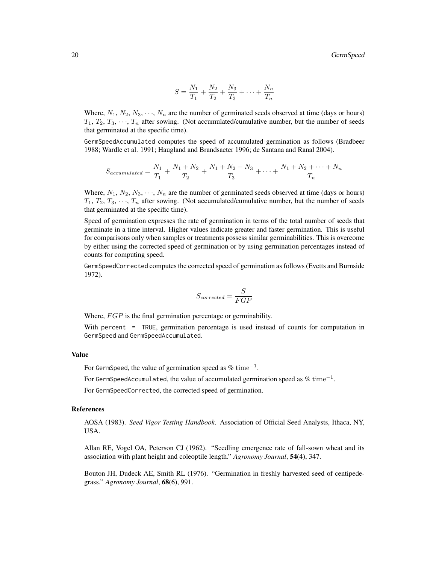$$
S = \frac{N_1}{T_1} + \frac{N_2}{T_2} + \frac{N_3}{T_3} + \dots + \frac{N_n}{T_n}
$$

Where,  $N_1, N_2, N_3, \dots, N_n$  are the number of germinated seeds observed at time (days or hours)  $T_1, T_2, T_3, \cdots, T_n$  after sowing. (Not accumulated/cumulative number, but the number of seeds that germinated at the specific time).

GermSpeedAccumulated computes the speed of accumulated germination as follows (Bradbeer 1988; Wardle et al. 1991; Haugland and Brandsaeter 1996; de Santana and Ranal 2004).

$$
S_{accumulated} = \frac{N_1}{T_1} + \frac{N_1 + N_2}{T_2} + \frac{N_1 + N_2 + N_3}{T_3} + \dots + \frac{N_1 + N_2 + \dots + N_n}{T_n}
$$

Where,  $N_1, N_2, N_3, \cdots, N_n$  are the number of germinated seeds observed at time (days or hours)  $T_1, T_2, T_3, \cdots, T_n$  after sowing. (Not accumulated/cumulative number, but the number of seeds that germinated at the specific time).

Speed of germination expresses the rate of germination in terms of the total number of seeds that germinate in a time interval. Higher values indicate greater and faster germination. This is useful for comparisons only when samples or treatments possess similar germinabilities. This is overcome by either using the corrected speed of germination or by using germination percentages instead of counts for computing speed.

GermSpeedCorrected computes the corrected speed of germination as follows (Evetts and Burnside 1972).

$$
S_{corrected} = \frac{S}{FGP}
$$

Where,  $FGP$  is the final germination percentage or germinability.

With percent = TRUE, germination percentage is used instead of counts for computation in GermSpeed and GermSpeedAccumulated.

# Value

For GermSpeed, the value of germination speed as  $\%$   $\mathrm{time}^{-1}.$ 

For GermSpeedAccumulated, the value of accumulated germination speed as  $\%$   $\mathrm{time}^{-1}.$ 

For GermSpeedCorrected, the corrected speed of germination.

# References

AOSA (1983). *Seed Vigor Testing Handbook*. Association of Official Seed Analysts, Ithaca, NY, USA.

Allan RE, Vogel OA, Peterson CJ (1962). "Seedling emergence rate of fall-sown wheat and its association with plant height and coleoptile length." *Agronomy Journal*, 54(4), 347.

Bouton JH, Dudeck AE, Smith RL (1976). "Germination in freshly harvested seed of centipedegrass." *Agronomy Journal*, 68(6), 991.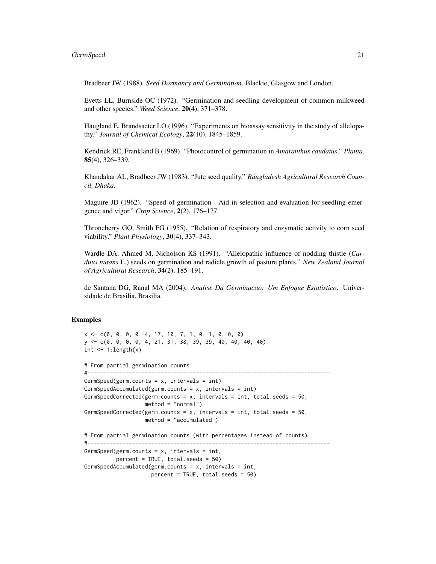# GermSpeed 21

Bradbeer JW (1988). *Seed Dormancy and Germination*. Blackie, Glasgow and London.

Evetts LL, Burnside OC (1972). "Germination and seedling development of common milkweed and other species." *Weed Science*, 20(4), 371–378.

Haugland E, Brandsaeter LO (1996). "Experiments on bioassay sensitivity in the study of allelopathy." *Journal of Chemical Ecology*, 22(10), 1845–1859.

Kendrick RE, Frankland B (1969). "Photocontrol of germination in *Amaranthus caudatus*." *Planta*, 85(4), 326–339.

Khandakar AL, Bradbeer JW (1983). "Jute seed quality." *Bangladesh Agricultural Research Council, Dhaka*.

Maguire JD (1962). "Speed of germination - Aid in selection and evaluation for seedling emergence and vigor." *Crop Science*, 2(2), 176–177.

Throneberry GO, Smith FG (1955). "Relation of respiratory and enzymatic activity to corn seed viability." *Plant Physiology*, 30(4), 337–343.

Wardle DA, Ahmed M, Nicholson KS (1991). "Allelopathic influence of nodding thistle (*Carduus nutans* L.) seeds on germination and radicle growth of pasture plants." *New Zealand Journal of Agricultural Research*, 34(2), 185–191.

de Santana DG, Ranal MA (2004). *Analise Da Germinacao: Um Enfoque Estatistico*. Universidade de Brasilia, Brasilia.

# Examples

```
x \leq -c(0, 0, 0, 0, 4, 17, 10, 7, 1, 0, 1, 0, 0, 0)y <- c(0, 0, 0, 0, 4, 21, 31, 38, 39, 39, 40, 40, 40, 40)
int \leq -1: length(x)# From partial germination counts
#----------------------------------------------------------------------------
GermSpeed(germ.counts = x, intervals = int)
GermSpeedAccumulated(germ.counts = x, intervals = int)
GermSpeedCorrected(germ.counts = x, intervals = int, total.seeds = 50,
                   method = "normal")
GermSpeedCorrected(germ.counts = x, intervals = int, total.seeds = 50,
                   method = "accumulated")
# From partial germination counts (with percentages instead of counts)
#----------------------------------------------------------------------------
GermSpeed(germ.counts = x, intervals = int,
          percent = TRUE, total.seeds = 50)
GermSpeedAccumulated(germ.counts = x, intervals = int,
                     percent = TRUE, total.seeds = 50)
```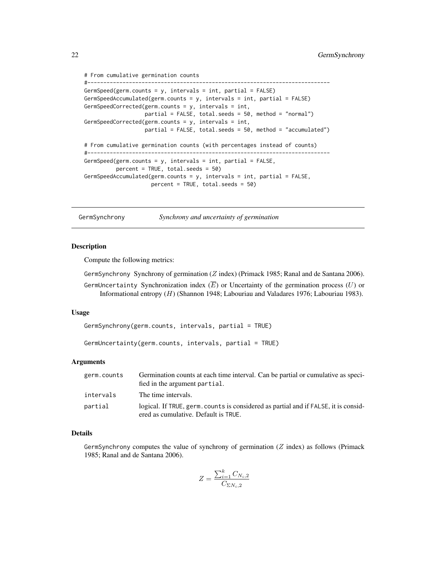```
# From cumulative germination counts
#----------------------------------------------------------------------------
GermSpeed(germ.counts = y, intervals = int, partial = FALSE)
GermSpeedAccumulated(germ.counts = y, intervals = int, partial = FALSE)
GermSpeedCorrected(germ.counts = y, intervals = int,
                  partial = FALSE, total.seeds = 50, method = "normal")
GermSpeedCorrected(germ.counts = y, intervals = int,
                  partial = FALSE, total.seeds = 50, method = "accumulated")
# From cumulative germination counts (with percentages instead of counts)
#----------------------------------------------------------------------------
GermSpeed(germ.counts = y, intervals = int, partial = FALSE,
          percent = TRUE, total.seeds = 50)
GermSpeedAccumulated(germ.counts = y, intervals = int, partial = FALSE,
                     percent = TRUE, total.seeds = 50)
```
<span id="page-21-1"></span>GermSynchrony *Synchrony and uncertainty of germination*

# <span id="page-21-2"></span>**Description**

Compute the following metrics:

GermSynchrony Synchrony of germination (Z index) (Primack 1985; Ranal and de Santana 2006).

GermUncertainty Synchronization index  $(E)$  or Uncertainty of the germination process  $(U)$  or Informational entropy (H) (Shannon 1948; Labouriau and Valadares 1976; Labouriau 1983).

#### Usage

GermSynchrony(germ.counts, intervals, partial = TRUE)

GermUncertainty(germ.counts, intervals, partial = TRUE)

#### Arguments

| germ.counts | Germination counts at each time interval. Can be partial or cumulative as speci-<br>fied in the argument partial.           |
|-------------|-----------------------------------------------------------------------------------------------------------------------------|
| intervals   | The time intervals.                                                                                                         |
| partial     | logical. If TRUE, germ, counts is considered as partial and if FALSE, it is consid-<br>ered as cumulative. Default is TRUE. |

# Details

GermSynchrony computes the value of synchrony of germination  $(Z \text{ index})$  as follows (Primack 1985; Ranal and de Santana 2006).

$$
Z = \frac{\sum_{i=1}^{k} C_{N_i,2}}{C_{\Sigma N_i,2}}
$$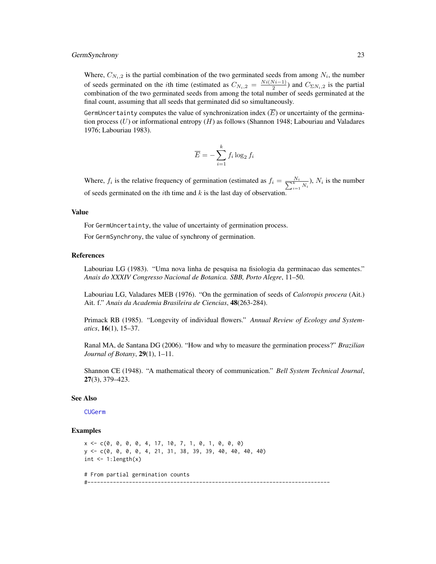# <span id="page-22-0"></span>GermSynchrony 23

Where,  $C_{N_i,2}$  is the partial combination of the two germinated seeds from among  $N_i$ , the number of seeds germinated on the *i*th time (estimated as  $C_{N_i,2} = \frac{Ni(N_i-1)}{2}$  $\frac{(v_i-1)}{2}$ ) and  $C_{\Sigma N_i,2}$  is the partial combination of the two germinated seeds from among the total number of seeds germinated at the final count, assuming that all seeds that germinated did so simultaneously.

GermUncertainty computes the value of synchronization index  $(\overline{E})$  or uncertainty of the germination process  $(U)$  or informational entropy  $(H)$  as follows (Shannon 1948; Labouriau and Valadares 1976; Labouriau 1983).

$$
\overline{E} = -\sum_{i=1}^{k} f_i \log_2 f_i
$$

Where,  $f_i$  is the relative frequency of germination (estimated as  $f_i = \frac{N_i}{\sum_{i=1}^k N_i}$ ),  $N_i$  is the number of seeds germinated on the *i*th time and  $k$  is the last day of observation.

#### Value

For GermUncertainty, the value of uncertainty of germination process.

For GermSynchrony, the value of synchrony of germination.

#### References

Labouriau LG (1983). "Uma nova linha de pesquisa na fisiologia da germinacao das sementes." *Anais do XXXIV Congresso Nacional de Botanica. SBB, Porto Alegre*, 11–50.

Labouriau LG, Valadares MEB (1976). "On the germination of seeds of *Calotropis procera* (Ait.) Ait. f." *Anais da Academia Brasileira de Ciencias*, 48(263-284).

Primack RB (1985). "Longevity of individual flowers." *Annual Review of Ecology and Systematics*, 16(1), 15–37.

Ranal MA, de Santana DG (2006). "How and why to measure the germination process?" *Brazilian Journal of Botany*, 29(1), 1–11.

Shannon CE (1948). "A mathematical theory of communication." *Bell System Technical Journal*, 27(3), 379–423.

#### See Also

[CUGerm](#page-1-1)

#### Examples

 $x \leq -c(0, 0, 0, 0, 4, 17, 10, 7, 1, 0, 1, 0, 0, 0)$ y <- c(0, 0, 0, 0, 4, 21, 31, 38, 39, 39, 40, 40, 40, 40) int  $\leq -1$ : length $(x)$ 

# From partial germination counts #----------------------------------------------------------------------------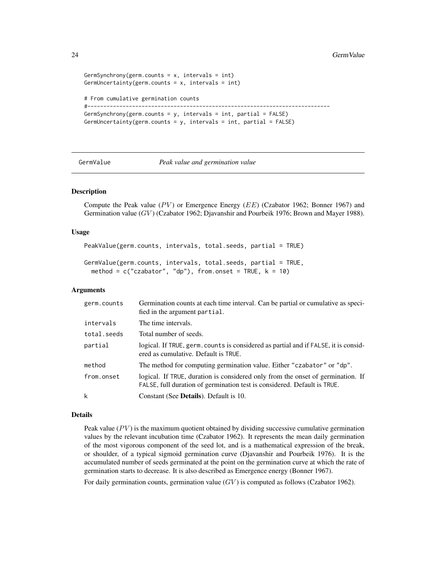```
GermSynchrony(germ.counts = x, intervals = int)
GermUncertainty(germ.counts = x, intervals = int)
# From cumulative germination counts
#----------------------------------------------------------------------------
GermSynchrony(germ.counts = y, intervals = int, partial = FALSE)
GermUncertainty(germ.counts = y, intervals = int, partial = FALSE)
```
<span id="page-23-1"></span>

GermValue *Peak value and germination value*

# <span id="page-23-2"></span>Description

Compute the Peak value  $(PV)$  or Emergence Energy  $(EE)$  (Czabator 1962; Bonner 1967) and Germination value (GV) (Czabator 1962; Djavanshir and Pourbeik 1976; Brown and Mayer 1988).

# Usage

```
PeakValue(germ.counts, intervals, total.seeds, partial = TRUE)
```
GermValue(germ.counts, intervals, total.seeds, partial = TRUE, method =  $c("czabator", "dp"), from onset = TRUE, k = 10)$ 

# Arguments

| germ.counts | Germination counts at each time interval. Can be partial or cumulative as speci-<br>fied in the argument partial.                                           |
|-------------|-------------------------------------------------------------------------------------------------------------------------------------------------------------|
| intervals   | The time intervals.                                                                                                                                         |
| total.seeds | Total number of seeds.                                                                                                                                      |
| partial     | logical. If TRUE, germ. counts is considered as partial and if FALSE, it is consid-<br>ered as cumulative. Default is TRUE.                                 |
| method      | The method for computing germination value. Either "czabator" or "dp".                                                                                      |
| from.onset  | logical. If TRUE, duration is considered only from the onset of germination. If<br>FALSE, full duration of germination test is considered. Default is TRUE. |
| k           | Constant (See Details). Default is 10.                                                                                                                      |

# Details

Peak value  $(PV)$  is the maximum quotient obtained by dividing successive cumulative germination values by the relevant incubation time (Czabator 1962). It represents the mean daily germination of the most vigorous component of the seed lot, and is a mathematical expression of the break, or shoulder, of a typical sigmoid germination curve (Djavanshir and Pourbeik 1976). It is the accumulated number of seeds germinated at the point on the germination curve at which the rate of germination starts to decrease. It is also described as Emergence energy (Bonner 1967).

For daily germination counts, germination value  $(GV)$  is computed as follows (Czabator 1962).

<span id="page-23-0"></span>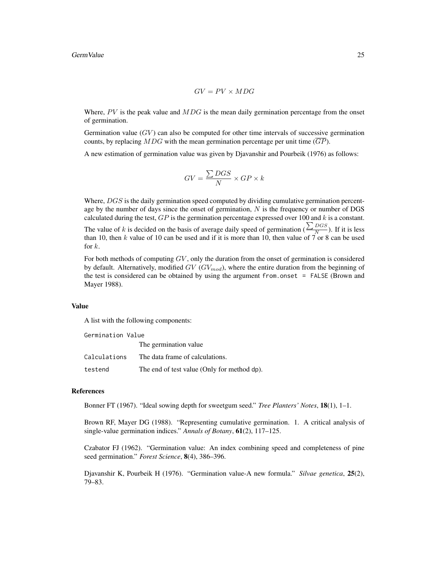$$
GV=PV\times MDG
$$

Where,  $PV$  is the peak value and  $MDG$  is the mean daily germination percentage from the onset of germination.

Germination value  $(GV)$  can also be computed for other time intervals of successive germination counts, by replacing MDG with the mean germination percentage per unit time  $(\overline{GP})$ .

A new estimation of germination value was given by Djavanshir and Pourbeik (1976) as follows:

$$
GV=\frac{\sum DGS}{N}\times GP\times k
$$

Where,  $DGS$  is the daily germination speed computed by dividing cumulative germination percentage by the number of days since the onset of germination,  $N$  is the frequency or number of DGS calculated during the test,  $GP$  is the germination percentage expressed over 100 and  $k$  is a constant. The value of k is decided on the basis of average daily speed of germination ( $\frac{\sum_{DGS}}{N}$ N ). If it is less than 10, then k value of 10 can be used and if it is more than 10, then value of 7 or 8 can be used for  $k$ .

For both methods of computing  $GV$ , only the duration from the onset of germination is considered by default. Alternatively, modified  $GV$  ( $GV_{mod}$ ), where the entire duration from the beginning of the test is considered can be obtained by using the argument from.onset = FALSE (Brown and Mayer 1988).

#### Value

A list with the following components:

| Germination Value |                                             |  |
|-------------------|---------------------------------------------|--|
|                   | The germination value                       |  |
| Calculations      | The data frame of calculations.             |  |
| testend           | The end of test value (Only for method dp). |  |

# References

Bonner FT (1967). "Ideal sowing depth for sweetgum seed." *Tree Planters' Notes*, 18(1), 1–1.

Brown RF, Mayer DG (1988). "Representing cumulative germination. 1. A critical analysis of single-value germination indices." *Annals of Botany*, 61(2), 117–125.

Czabator FJ (1962). "Germination value: An index combining speed and completeness of pine seed germination." *Forest Science*, 8(4), 386–396.

Djavanshir K, Pourbeik H (1976). "Germination value-A new formula." *Silvae genetica*, 25(2), 79–83.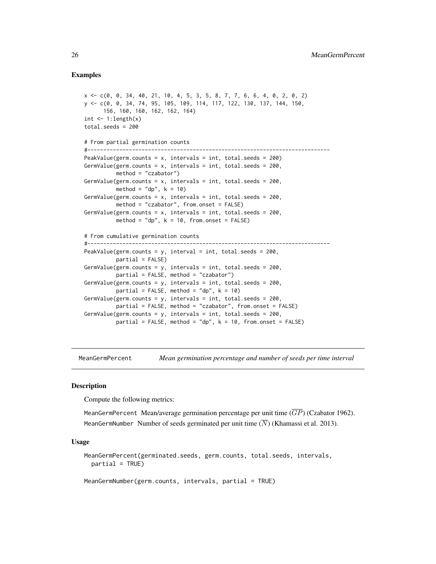# <span id="page-25-0"></span>Examples

```
x <- c(0, 0, 34, 40, 21, 10, 4, 5, 3, 5, 8, 7, 7, 6, 6, 4, 0, 2, 0, 2)
y <- c(0, 0, 34, 74, 95, 105, 109, 114, 117, 122, 130, 137, 144, 150,
     156, 160, 160, 162, 162, 164)
int \leq -1: length(x)total.seeds = 200
# From partial germination counts
#----------------------------------------------------------------------------
PeakValue(germ.counts = x, intervals = int, total.seeds = 200)
GermValue(germ.counts = x, intervals = int, total.seeds = 200,
         method = "czabator")
GermValue(germ.counts = x, intervals = int, total.seeds = 200,
         method = "dp", k = 10GermValue(germ.counts = x, intervals = int, total.seeds = 200,
         method = "czabator", from.onset = FALSE)
GermValue(germ.counts = x, intervals = int, total.seeds = 200,
         method = "dp", k = 10, from onset = FALSE)# From cumulative germination counts
#----------------------------------------------------------------------------
PeakValue(germ.counts = y, interval = int, total.seeds = 200,
          partial = FALSE)
GermValue(germ.counts = y, intervals = int, total.seeds = 200,
         partial = FALSE, method = "czabator")
GermValue(germ.counts = y, intervals = int, total.seeds = 200,
         partial = FALSE, method = "dp", k = 10)
GermValue(germ.counts = y, intervals = int, total.seeds = 200,
         partial = FALSE, method = "czabator", from.onset = FALSE)
GermValue(germ.counts = y, intervals = int, total.seeds = 200,
         partial = FALSE, method = "dp", k = 10, from onset = FALSE)
```
<span id="page-25-1"></span>MeanGermPercent *Mean germination percentage and number of seeds per time interval*

# **Description**

Compute the following metrics:

MeanGermPercent Mean/average germination percentage per unit time  $(\overline{GP})$  (Czabator 1962). MeanGermNumber Number of seeds germinated per unit time  $(\overline{N})$  (Khamassi et al. 2013).

#### Usage

MeanGermPercent(germinated.seeds, germ.counts, total.seeds, intervals, partial = TRUE)

MeanGermNumber(germ.counts, intervals, partial = TRUE)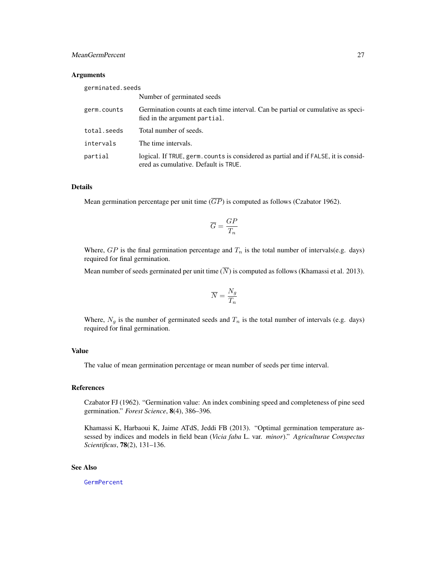# <span id="page-26-0"></span>MeanGermPercent 27

# **Arguments**

| germinated.seeds |                                                                                                                             |
|------------------|-----------------------------------------------------------------------------------------------------------------------------|
|                  | Number of germinated seeds                                                                                                  |
| germ.counts      | Germination counts at each time interval. Can be partial or cumulative as speci-<br>fied in the argument partial.           |
| total.seeds      | Total number of seeds.                                                                                                      |
| intervals        | The time intervals.                                                                                                         |
| partial          | logical. If TRUE, germ, counts is considered as partial and if FALSE, it is consid-<br>ered as cumulative. Default is TRUE. |

# Details

Mean germination percentage per unit time  $(\overline{GP})$  is computed as follows (Czabator 1962).

$$
\overline{G}=\frac{GP}{T_n}
$$

Where,  $GP$  is the final germination percentage and  $T_n$  is the total number of intervals(e.g. days) required for final germination.

Mean number of seeds germinated per unit time  $(N)$  is computed as follows (Khamassi et al. 2013).

$$
\overline{N}=\frac{N_g}{T_n}
$$

Where,  $N_g$  is the number of germinated seeds and  $T_n$  is the total number of intervals (e.g. days) required for final germination.

# Value

The value of mean germination percentage or mean number of seeds per time interval.

# References

Czabator FJ (1962). "Germination value: An index combining speed and completeness of pine seed germination." *Forest Science*, 8(4), 386–396.

Khamassi K, Harbaoui K, Jaime ATdS, Jeddi FB (2013). "Optimal germination temperature assessed by indices and models in field bean (*Vicia faba* L. var. *minor*)." *Agriculturae Conspectus Scientificus*, 78(2), 131–136.

# See Also

**[GermPercent](#page-16-1)**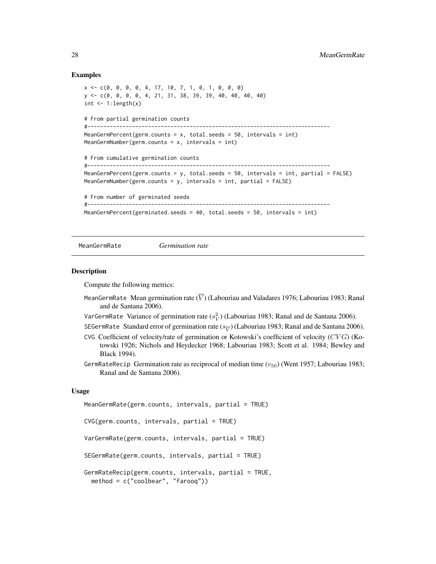# Examples

```
x <- c(0, 0, 0, 0, 4, 17, 10, 7, 1, 0, 1, 0, 0, 0)
y <- c(0, 0, 0, 0, 4, 21, 31, 38, 39, 39, 40, 40, 40, 40)
int \leq -1: length(x)# From partial germination counts
#----------------------------------------------------------------------------
MeanGermPercent(germ.counts = x, total.seeds = 50, intervals = int)
MeanGermNumber(germ.counts = x, intervals = int)
# From cumulative germination counts
#----------------------------------------------------------------------------
MeanGermPercent(germ.counts = y, total.seeds = 50, intervals = int, partial = FALSE)
MeanGermNumber(germ.counts = y, intervals = int, partial = FALSE)
# From number of germinated seeds
#----------------------------------------------------------------------------
MeanGermPercent(germinated.seeds = 40, total.seeds = 50, intervals = int)
```
<span id="page-27-1"></span>MeanGermRate *Germination rate*

#### <span id="page-27-2"></span>Description

Compute the following metrics:

- MeanGermRate Mean germination rate  $(\overline{V})$  (Labouriau and Valadares 1976; Labouriau 1983; Ranal and de Santana 2006).
- VarGermRate Variance of germination rate ( $s_V^2$ ) (Labouriau 1983; Ranal and de Santana 2006).
- SEGermRate Standard error of germination rate ( $s_{\overline{V}}$ ) (Labouriau 1983; Ranal and de Santana 2006).
- CVG Coefficient of velocity/rate of germination or Kotowski's coefficient of velocity (CVG) (Kotowski 1926; Nichols and Heydecker 1968; Labouriau 1983; Scott et al. 1984; Bewley and Black 1994).
- GermRateRecip Germination rate as reciprocal of median time  $(v_{50})$  (Went 1957; Labouriau 1983; Ranal and de Santana 2006).

# Usage

```
MeanGermRate(germ.counts, intervals, partial = TRUE)
CVG(germ.counts, intervals, partial = TRUE)
VarGermRate(germ.counts, intervals, partial = TRUE)
SEGermRate(germ.counts, intervals, partial = TRUE)
GermRateRecip(germ.counts, intervals, partial = TRUE,
 method = c("coolbear", "farooq"))
```
<span id="page-27-0"></span>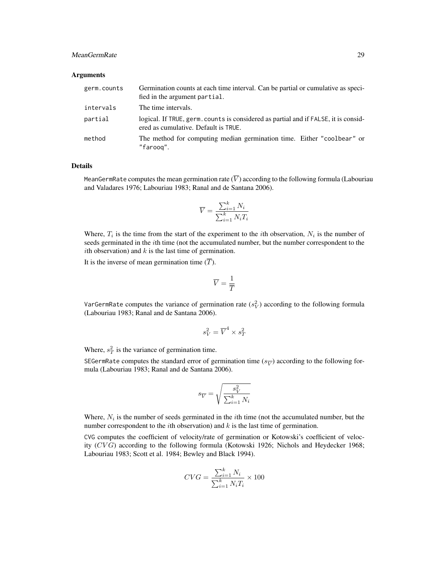# MeanGermRate 29

# Arguments

| germ.counts | Germination counts at each time interval. Can be partial or cumulative as speci-<br>fied in the argument partial.           |
|-------------|-----------------------------------------------------------------------------------------------------------------------------|
| intervals   | The time intervals.                                                                                                         |
| partial     | logical. If TRUE, germ. counts is considered as partial and if FALSE, it is consid-<br>ered as cumulative. Default is TRUE. |
| method      | The method for computing median germination time. Either "coolbear" or<br>"faroog".                                         |

# Details

MeanGermRate computes the mean germination rate  $(\overline{V})$  according to the following formula (Labouriau and Valadares 1976; Labouriau 1983; Ranal and de Santana 2006).

$$
\overline{V} = \frac{\sum_{i=1}^{k} N_i}{\sum_{i=1}^{k} N_i T_i}
$$

Where,  $T_i$  is the time from the start of the experiment to the *i*th observation,  $N_i$  is the number of seeds germinated in the *i*th time (not the accumulated number, but the number correspondent to the ith observation) and  $k$  is the last time of germination.

It is the inverse of mean germination time  $(\overline{T})$ .

$$
\overline{V}=\frac{1}{\overline{T}}
$$

VarGermRate computes the variance of germination rate  $(s_V^2)$  according to the following formula (Labouriau 1983; Ranal and de Santana 2006).

$$
s_V^2 = \overline{V}^4 \times s_T^2
$$

Where,  $s_T^2$  is the variance of germination time.

SEGermRate computes the standard error of germination time ( $s_{\overline{V}}$ ) according to the following formula (Labouriau 1983; Ranal and de Santana 2006).

$$
s_{\overline{V}} = \sqrt{\frac{s^2_{V}}{\sum_{i=1}^k N_i}}
$$

Where,  $N_i$  is the number of seeds germinated in the *i*th time (not the accumulated number, but the number correspondent to the *i*th observation) and  $k$  is the last time of germination.

CVG computes the coefficient of velocity/rate of germination or Kotowski's coefficient of velocity  $(CVG)$  according to the following formula (Kotowski 1926; Nichols and Heydecker 1968; Labouriau 1983; Scott et al. 1984; Bewley and Black 1994).

$$
CVG = \frac{\sum_{i=1}^{k} N_i}{\sum_{i=1}^{k} N_i T_i} \times 100
$$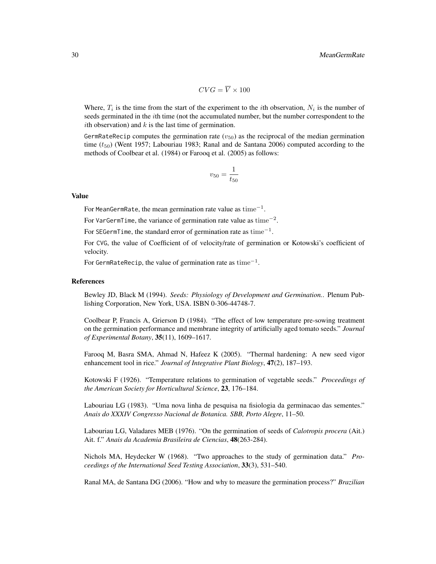$$
CVG = \overline{V} \times 100
$$

Where,  $T_i$  is the time from the start of the experiment to the *i*th observation,  $N_i$  is the number of seeds germinated in the ith time (not the accumulated number, but the number correspondent to the ith observation) and  $k$  is the last time of germination.

GermRateRecip computes the germination rate ( $v_{50}$ ) as the reciprocal of the median germination time  $(t_{50})$  (Went 1957; Labouriau 1983; Ranal and de Santana 2006) computed according to the methods of Coolbear et al. (1984) or Farooq et al. (2005) as follows:

$$
v_{50}=\frac{1}{t_{50}}
$$

# Value

For MeanGermRate, the mean germination rate value as  ${\rm time}^{-1}.$ 

For VarGermTime, the variance of germination rate value as  $time^{-2}$ .

For SEGermTime, the standard error of germination rate as  $time^{-1}$ .

For CVG, the value of Coefficient of of velocity/rate of germination or Kotowski's coefficient of velocity.

For GermRateRecip, the value of germination rate as  $\mathrm{time}^{-1}.$ 

# References

Bewley JD, Black M (1994). *Seeds: Physiology of Development and Germination.*. Plenum Publishing Corporation, New York, USA. ISBN 0-306-44748-7.

Coolbear P, Francis A, Grierson D (1984). "The effect of low temperature pre-sowing treatment on the germination performance and membrane integrity of artificially aged tomato seeds." *Journal of Experimental Botany*, 35(11), 1609–1617.

Farooq M, Basra SMA, Ahmad N, Hafeez K (2005). "Thermal hardening: A new seed vigor enhancement tool in rice." *Journal of Integrative Plant Biology*, 47(2), 187–193.

Kotowski F (1926). "Temperature relations to germination of vegetable seeds." *Proceedings of the American Society for Horticultural Science*, 23, 176–184.

Labouriau LG (1983). "Uma nova linha de pesquisa na fisiologia da germinacao das sementes." *Anais do XXXIV Congresso Nacional de Botanica. SBB, Porto Alegre*, 11–50.

Labouriau LG, Valadares MEB (1976). "On the germination of seeds of *Calotropis procera* (Ait.) Ait. f." *Anais da Academia Brasileira de Ciencias*, 48(263-284).

Nichols MA, Heydecker W (1968). "Two approaches to the study of germination data." *Proceedings of the International Seed Testing Association*, 33(3), 531–540.

Ranal MA, de Santana DG (2006). "How and why to measure the germination process?" *Brazilian*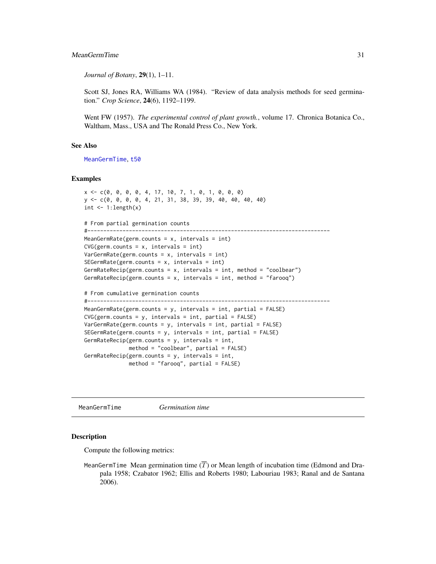# <span id="page-30-0"></span>MeanGermTime 31

*Journal of Botany*, 29(1), 1–11.

Scott SJ, Jones RA, Williams WA (1984). "Review of data analysis methods for seed germination." *Crop Science*, 24(6), 1192–1199.

Went FW (1957). *The experimental control of plant growth.*, volume 17. Chronica Botanica Co., Waltham, Mass., USA and The Ronald Press Co., New York.

# See Also

[MeanGermTime](#page-30-1), [t50](#page-35-1)

# Examples

```
x <- c(0, 0, 0, 0, 4, 17, 10, 7, 1, 0, 1, 0, 0, 0)
y <- c(0, 0, 0, 0, 4, 21, 31, 38, 39, 39, 40, 40, 40, 40)
int < -1: length(x)# From partial germination counts
#----------------------------------------------------------------------------
MeanGermRate(germ.counts = x, intervals = int)
CVG(germ.counts = x, intervals = int)VarGermRate(germ.counts = x, intervals = int)
SEGermRate(germ.counts = x, intervals = int)GermRateRecip(germ.counts = x, intervals = int, method = "coolbear")
GermRateRecip(germ.counts = x, intervals = int, method = "farooq")
# From cumulative germination counts
#----------------------------------------------------------------------------
MeanGermRate(germ.counts = y, intervals = int, partial = FALSE)
CVG(germ.counts = y, intervals = int, partial = FALSE)VarGermRate(germ.counts = y, intervals = int, partial = FALSE)
SEGermRate(germ.counts = y, intervals = int, partial = FALSE)
GermRateRecip(germ.counts = y, intervals = int,method = "coolbear", partial = FALSE)
GermRateRecip(germ.counts = y, intervals = int,
              method = "farooq", partial = FALSE)
```
<span id="page-30-1"></span>MeanGermTime *Germination time*

# <span id="page-30-2"></span>Description

Compute the following metrics:

MeanGermTime Mean germination time  $(\overline{T})$  or Mean length of incubation time (Edmond and Drapala 1958; Czabator 1962; Ellis and Roberts 1980; Labouriau 1983; Ranal and de Santana 2006).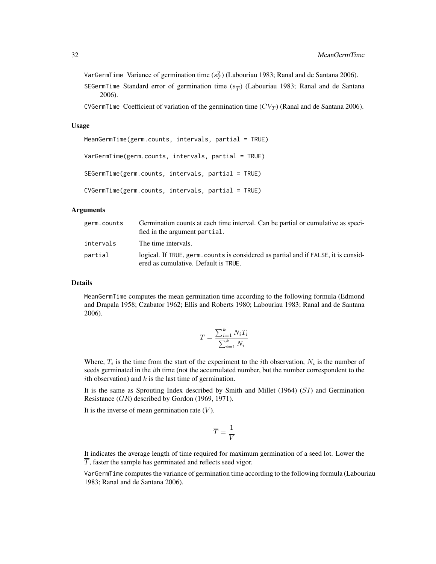VarGermTime Variance of germination time ( $s_T^2$ ) (Labouriau 1983; Ranal and de Santana 2006). SEGermTime Standard error of germination time ( $s_{\overline{T}}$ ) (Labouriau 1983; Ranal and de Santana 2006).

CVGermTime Coefficient of variation of the germination time  $(CV_T)$  (Ranal and de Santana 2006).

# Usage

```
MeanGermTime(germ.counts, intervals, partial = TRUE)
VarGermTime(germ.counts, intervals, partial = TRUE)
SEGermTime(germ.counts, intervals, partial = TRUE)
CVGermTime(germ.counts, intervals, partial = TRUE)
```
#### Arguments

| germ.counts | Germination counts at each time interval. Can be partial or cumulative as speci-<br>fied in the argument partial.           |
|-------------|-----------------------------------------------------------------------------------------------------------------------------|
| intervals   | The time intervals.                                                                                                         |
| partial     | logical. If TRUE, germ, counts is considered as partial and if FALSE, it is consid-<br>ered as cumulative. Default is TRUE. |

#### Details

MeanGermTime computes the mean germination time according to the following formula (Edmond and Drapala 1958; Czabator 1962; Ellis and Roberts 1980; Labouriau 1983; Ranal and de Santana 2006).

$$
\overline{T} = \frac{\sum_{i=1}^{k} N_i T_i}{\sum_{i=1}^{k} N_i}
$$

Where,  $T_i$  is the time from the start of the experiment to the *i*th observation,  $N_i$  is the number of seeds germinated in the *i*th time (not the accumulated number, but the number correspondent to the ith observation) and  $k$  is the last time of germination.

It is the same as Sprouting Index described by Smith and Millet  $(1964)$   $(SI)$  and Germination Resistance  $(GR)$  described by Gordon (1969, 1971).

It is the inverse of mean germination rate  $(\overline{V})$ .

$$
\overline{T}=\frac{1}{\overline{V}}
$$

It indicates the average length of time required for maximum germination of a seed lot. Lower the  $\overline{T}$ , faster the sample has germinated and reflects seed vigor.

VarGermTime computes the variance of germination time according to the following formula (Labouriau 1983; Ranal and de Santana 2006).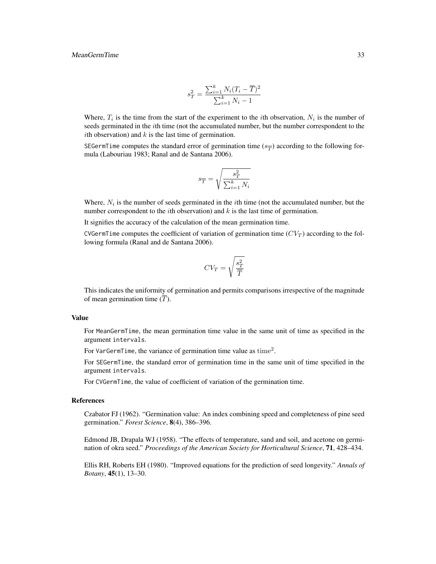$$
s_T^2 = \frac{\sum_{i=1}^k N_i (T_i - \overline{T})^2}{\sum_{i=1}^k N_i - 1}
$$

Where,  $T_i$  is the time from the start of the experiment to the *i*th observation,  $N_i$  is the number of seeds germinated in the *i*th time (not the accumulated number, but the number correspondent to the *i*th observation) and  $k$  is the last time of germination.

SEGermTime computes the standard error of germination time  $(s_{\overline{T}})$  according to the following formula (Labouriau 1983; Ranal and de Santana 2006).

$$
s_{\overline{T}} = \sqrt{\frac{s_T^2}{\sum_{i=1}^k N_i}}
$$

Where,  $N_i$  is the number of seeds germinated in the *i*th time (not the accumulated number, but the number correspondent to the *i*th observation) and  $k$  is the last time of germination.

It signifies the accuracy of the calculation of the mean germination time.

CVGermTime computes the coefficient of variation of germination time  $(CV_T)$  according to the following formula (Ranal and de Santana 2006).

$$
CV_T = \sqrt{\frac{s_T^2}{\overline{T}}}
$$

This indicates the uniformity of germination and permits comparisons irrespective of the magnitude of mean germination time  $(\overline{T})$ .

#### Value

For MeanGermTime, the mean germination time value in the same unit of time as specified in the argument intervals.

For VarGermTime, the variance of germination time value as time<sup>2</sup>.

For SEGermTime, the standard error of germination time in the same unit of time specified in the argument intervals.

For CVGermTime, the value of coefficient of variation of the germination time.

#### References

Czabator FJ (1962). "Germination value: An index combining speed and completeness of pine seed germination." *Forest Science*, 8(4), 386–396.

Edmond JB, Drapala WJ (1958). "The effects of temperature, sand and soil, and acetone on germination of okra seed." *Proceedings of the American Society for Horticultural Science*, 71, 428–434.

Ellis RH, Roberts EH (1980). "Improved equations for the prediction of seed longevity." *Annals of Botany*, 45(1), 13–30.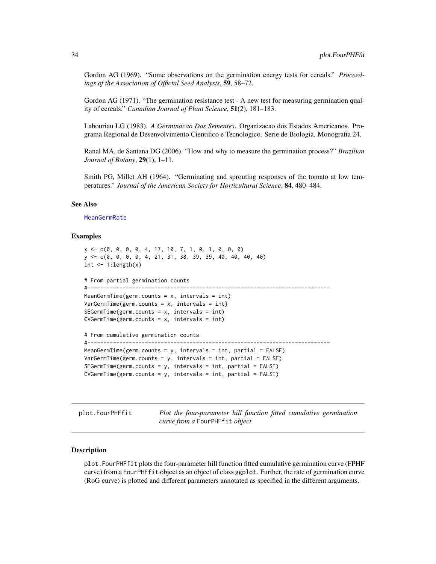<span id="page-33-0"></span>Gordon AG (1969). "Some observations on the germination energy tests for cereals." *Proceedings of the Association of Official Seed Analysts*, 59, 58–72.

Gordon AG (1971). "The germination resistance test - A new test for measuring germination quality of cereals." *Canadian Journal of Plant Science*, 51(2), 181–183.

Labouriau LG (1983). *A Germinacao Das Sementes*. Organizacao dos Estados Americanos. Programa Regional de Desenvolvimento Cientifico e Tecnologico. Serie de Biologia. Monografia 24.

Ranal MA, de Santana DG (2006). "How and why to measure the germination process?" *Brazilian Journal of Botany*, 29(1), 1–11.

Smith PG, Millet AH (1964). "Germinating and sprouting responses of the tomato at low temperatures." *Journal of the American Society for Horticultural Science*, 84, 480–484.

# See Also

[MeanGermRate](#page-27-1)

#### Examples

```
x <- c(0, 0, 0, 0, 4, 17, 10, 7, 1, 0, 1, 0, 0, 0)
y <- c(0, 0, 0, 0, 4, 21, 31, 38, 39, 39, 40, 40, 40, 40)
int \leq -1: length(x)# From partial germination counts
#----------------------------------------------------------------------------
MeanGermTime(germ.counts = x, intervals = int)
VarGermanTime(germ.counts = x, intervals = int)SEGermanTime(germ.counts = x, intervals = int)CVGermTime(germ.counts = x, intervals = int)# From cumulative germination counts
#----------------------------------------------------------------------------
MeanGermTime(germ.counts = y, intervals = int, partial = FALSE)VarGermanTime(germ.counts = y, intervals = int, partial = FALSE)SEGermTime(germ.counts = y, intervals = int, partial = FALSE)CVGermTime(germ.counts = y, intervals = int, partial = FALSE)
```
plot.FourPHFfit *Plot the four-parameter hill function fitted cumulative germination curve from a* FourPHFfit *object*

# Description

plot.FourPHFfit plots the four-parameter hill function fitted cumulative germination curve (FPHF curve) from a FourPHFfit object as an object of class ggplot. Further, the rate of germination curve (RoG curve) is plotted and different parameters annotated as specified in the different arguments.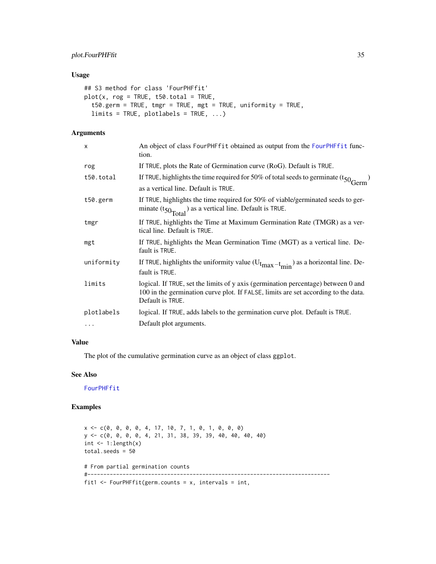# <span id="page-34-0"></span>plot.FourPHFfit 35

# Usage

```
## S3 method for class 'FourPHFfit'
plot(x, rog = TRUE, t50.total = TRUE,t50.germ = TRUE, tmgr = TRUE, mgt = TRUE, uniformity = TRUE,
  limits = TRUE, plotlabels = TRUE, ...)
```
# Arguments

| X          | An object of class FourPHFfit obtained as output from the FourPHFfit func-<br>tion.                                                                                                         |
|------------|---------------------------------------------------------------------------------------------------------------------------------------------------------------------------------------------|
| rog        | If TRUE, plots the Rate of Germination curve (RoG). Default is TRUE.                                                                                                                        |
| t50.total  | If TRUE, highlights the time required for 50% of total seeds to germinate $(t_{50}$ <sup>Germ</sup>                                                                                         |
|            | as a vertical line. Default is TRUE.                                                                                                                                                        |
| t50.germ   | If TRUE, highlights the time required for $50\%$ of viable/germinated seeds to ger-<br>minate $(t_{50}T_{\text{total}})$ as a vertical line. Default is TRUE.                               |
| tmgr       | If TRUE, highlights the Time at Maximum Germination Rate (TMGR) as a ver-<br>tical line. Default is TRUE.                                                                                   |
| mgt        | If TRUE, highlights the Mean Germination Time (MGT) as a vertical line. De-<br>fault is TRUE.                                                                                               |
| uniformity | If TRUE, highlights the uniformity value $(U_{t_{max}-t_{min}})$ as a horizontal line. De-<br>fault is TRUE.                                                                                |
| limits     | logical. If TRUE, set the limits of y axis (germination percentage) between 0 and<br>100 in the germination curve plot. If FALSE, limits are set according to the data.<br>Default is TRUE. |
| plotlabels | logical. If TRUE, adds labels to the germination curve plot. Default is TRUE.                                                                                                               |
| .          | Default plot arguments.                                                                                                                                                                     |
|            |                                                                                                                                                                                             |

# Value

The plot of the cumulative germination curve as an object of class ggplot.

# See Also

[FourPHFfit](#page-5-1)

# Examples

 $x \leq -c(0, 0, 0, 0, 4, 17, 10, 7, 1, 0, 1, 0, 0, 0)$ y <- c(0, 0, 0, 0, 4, 21, 31, 38, 39, 39, 40, 40, 40, 40) int  $\leftarrow$  1:length $(x)$ total.seeds = 50 # From partial germination counts #--------------------------------------------------------------------------- fit1 <- FourPHFfit(germ.counts =  $x$ , intervals = int,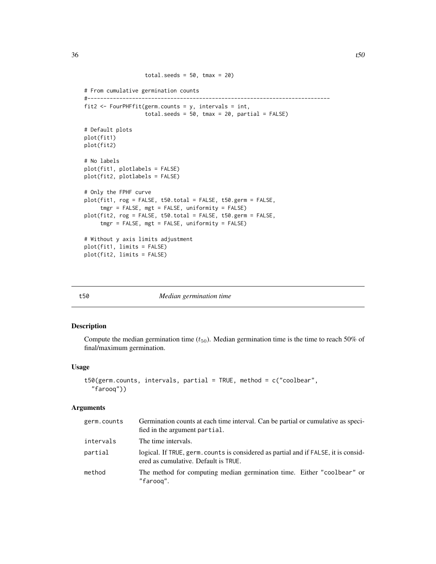```
total.seeds = 50, tmax = 20)
# From cumulative germination counts
#----------------------------------------------------------------------------
fit2 <- FourPHFfit(germ.counts = y, intervals = int,
                  total.seeds = 50, tmax = 20, partial = FALSE)
# Default plots
plot(fit1)
plot(fit2)
# No labels
plot(fit1, plotlabels = FALSE)
plot(fit2, plotlabels = FALSE)
# Only the FPHF curve
plot(fit1, rog = FALSE, t50.total = FALSE, t50.germ = FALSE,
     tmgr = FALSE, mgt = FALSE, uniformity = FALSE)
plot(fit2, rog = FALSE, t50.total = FALSE, t50.germ = FALSE,
     tmgr = FALSE, mgt = FALSE, uniformity = FALSE)
# Without y axis limits adjustment
plot(fit1, limits = FALSE)
plot(fit2, limits = FALSE)
```
<span id="page-35-1"></span>

#### t50 *Median germination time*

#### Description

Compute the median germination time  $(t_{50})$ . Median germination time is the time to reach 50% of final/maximum germination.

# Usage

```
t50(germ.counts, intervals, partial = TRUE, method = c("coolbear","farooq"))
```
## Arguments

| germ.counts | Germination counts at each time interval. Can be partial or cumulative as speci-<br>fied in the argument partial.           |
|-------------|-----------------------------------------------------------------------------------------------------------------------------|
| intervals   | The time intervals.                                                                                                         |
| partial     | logical. If TRUE, germ, counts is considered as partial and if FALSE, it is consid-<br>ered as cumulative. Default is TRUE. |
| method      | The method for computing median germination time. Either "coolbear" or<br>"faroog".                                         |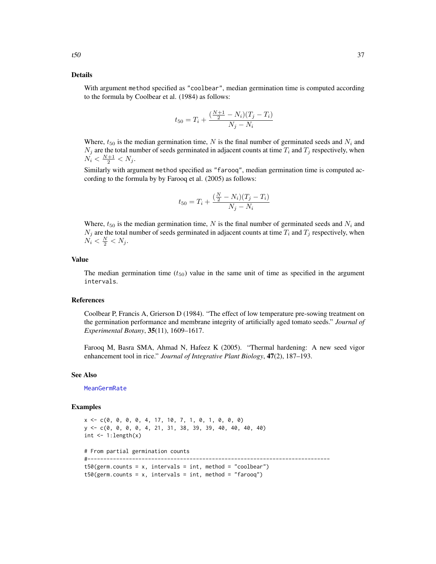#### <span id="page-36-0"></span>Details

With argument method specified as "coolbear", median germination time is computed according to the formula by Coolbear et al. (1984) as follows:

$$
t_{50} = T_i + \frac{\left(\frac{N+1}{2} - N_i\right)(T_j - T_i)}{N_j - N_i}
$$

Where,  $t_{50}$  is the median germination time, N is the final number of germinated seeds and  $N_i$  and  $N_j$  are the total number of seeds germinated in adjacent counts at time  $T_i$  and  $T_j$  respectively, when  $N_i < \frac{N+1}{2} < N_j$ .

Similarly with argument method specified as "farooq", median germination time is computed according to the formula by by Farooq et al. (2005) as follows:

$$
t_{50} = T_i + \frac{\left(\frac{N}{2} - N_i\right)(T_j - T_i)}{N_j - N_i}
$$

Where,  $t_{50}$  is the median germination time, N is the final number of germinated seeds and  $N_i$  and  $N_j$  are the total number of seeds germinated in adjacent counts at time  $T_i$  and  $T_j$  respectively, when  $N_i < \frac{N}{2} < N_j$ .

# Value

The median germination time  $(t_{50})$  value in the same unit of time as specified in the argument intervals.

# References

Coolbear P, Francis A, Grierson D (1984). "The effect of low temperature pre-sowing treatment on the germination performance and membrane integrity of artificially aged tomato seeds." *Journal of Experimental Botany*, 35(11), 1609–1617.

Farooq M, Basra SMA, Ahmad N, Hafeez K (2005). "Thermal hardening: A new seed vigor enhancement tool in rice." *Journal of Integrative Plant Biology*, 47(2), 187–193.

# See Also

[MeanGermRate](#page-27-1)

#### Examples

```
x \leq -c(0, 0, 0, 0, 4, 17, 10, 7, 1, 0, 1, 0, 0, 0)y <- c(0, 0, 0, 0, 4, 21, 31, 38, 39, 39, 40, 40, 40, 40)
int \leq -1: length(x)# From partial germination counts
#----------------------------------------------------------------------------
t50(germ.counts = x, intervals = int, method = "coolbear")
t50(germ.counts = x, intervals = int, method = "farooq")
```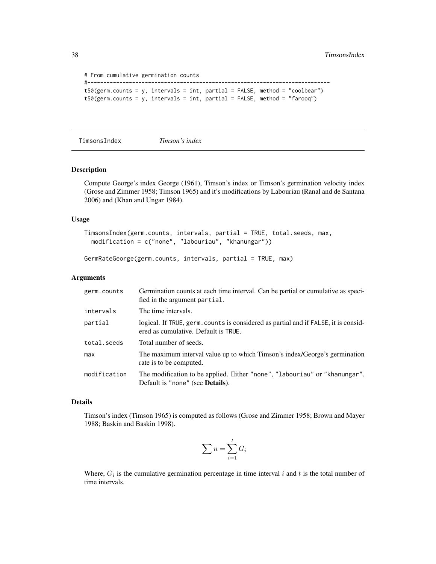```
# From cumulative germination counts
#----------------------------------------------------------------------------
t50(germ.counts = y, intervals = int, partial = FALSE, method = "coolbear")
t50(germ.counts = y, intervals = int, partial = FALSE, method = "farooq")
```

```
TimsonsIndex Timson's index
```
# <span id="page-37-2"></span>Description

Compute George's index George (1961), Timson's index or Timson's germination velocity index (Grose and Zimmer 1958; Timson 1965) and it's modifications by Labouriau (Ranal and de Santana 2006) and (Khan and Ungar 1984).

# Usage

```
TimsonsIndex(germ.counts, intervals, partial = TRUE, total.seeds, max,
 modification = c("none", "labouriau", "khanungar"))
```

```
GermRateGeorge(germ.counts, intervals, partial = TRUE, max)
```
# Arguments

| germ.counts  | Germination counts at each time interval. Can be partial or cumulative as speci-<br>fied in the argument partial.           |
|--------------|-----------------------------------------------------------------------------------------------------------------------------|
| intervals    | The time intervals.                                                                                                         |
| partial      | logical. If TRUE, germ. counts is considered as partial and if FALSE, it is consid-<br>ered as cumulative. Default is TRUE. |
| total.seeds  | Total number of seeds.                                                                                                      |
| max          | The maximum interval value up to which Timson's index/George's germination<br>rate is to be computed.                       |
| modification | The modification to be applied. Either "none", "labouriau" or "khanungar".<br>Default is "none" (see <b>Details</b> ).      |

# Details

Timson's index (Timson 1965) is computed as follows (Grose and Zimmer 1958; Brown and Mayer 1988; Baskin and Baskin 1998).

$$
\sum n = \sum_{i=1}^t G_i
$$

Where,  $G_i$  is the cumulative germination percentage in time interval i and t is the total number of time intervals.

<span id="page-37-0"></span>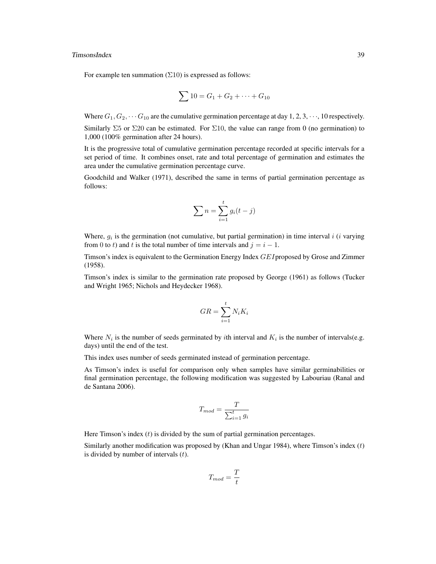# TimsonsIndex 39

For example ten summation  $(\Sigma 10)$  is expressed as follows:

$$
\sum 10 = G_1 + G_2 + \dots + G_{10}
$$

Where  $G_1, G_2, \cdots, G_{10}$  are the cumulative germination percentage at day 1, 2, 3,  $\cdots$ , 10 respectively. Similarly  $\Sigma$ 5 or  $\Sigma$ 20 can be estimated. For  $\Sigma$ 10, the value can range from 0 (no germination) to 1,000 (100% germination after 24 hours).

It is the progressive total of cumulative germination percentage recorded at specific intervals for a set period of time. It combines onset, rate and total percentage of germination and estimates the area under the cumulative germination percentage curve.

Goodchild and Walker (1971), described the same in terms of partial germination percentage as follows:

$$
\sum n = \sum_{i=1}^{t} g_i(t-j)
$$

Where,  $g_i$  is the germination (not cumulative, but partial germination) in time interval i (i varying from 0 to t) and t is the total number of time intervals and  $j = i - 1$ .

Timson's index is equivalent to the Germination Energy Index GEI proposed by Grose and Zimmer (1958).

Timson's index is similar to the germination rate proposed by George (1961) as follows (Tucker and Wright 1965; Nichols and Heydecker 1968).

$$
GR = \sum_{i=1}^{t} N_i K_i
$$

Where  $N_i$  is the number of seeds germinated by *i*th interval and  $K_i$  is the number of intervals(e.g. days) until the end of the test.

This index uses number of seeds germinated instead of germination percentage.

As Timson's index is useful for comparison only when samples have similar germinabilities or final germination percentage, the following modification was suggested by Labouriau (Ranal and de Santana 2006).

$$
T_{mod} = \frac{T}{\sum_{i=1}^{t} g_i}
$$

Here Timson's index  $(t)$  is divided by the sum of partial germination percentages.

Similarly another modification was proposed by (Khan and Ungar 1984), where Timson's index  $(t)$ is divided by number of intervals  $(t)$ .

$$
T_{mod} = \frac{T}{t}
$$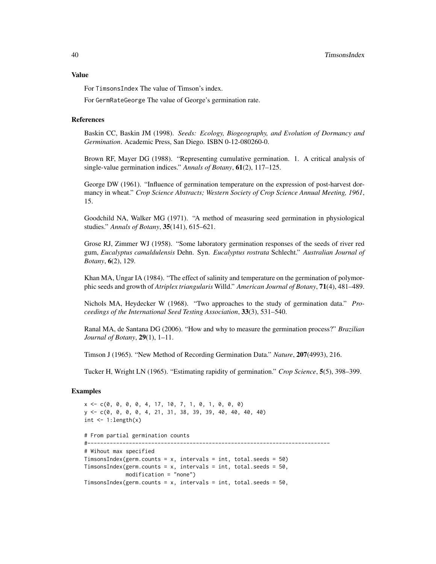# Value

For TimsonsIndex The value of Timson's index.

For GermRateGeorge The value of George's germination rate.

#### References

Baskin CC, Baskin JM (1998). *Seeds: Ecology, Biogeography, and Evolution of Dormancy and Germination*. Academic Press, San Diego. ISBN 0-12-080260-0.

Brown RF, Mayer DG (1988). "Representing cumulative germination. 1. A critical analysis of single-value germination indices." *Annals of Botany*, 61(2), 117–125.

George DW (1961). "Influence of germination temperature on the expression of post-harvest dormancy in wheat." *Crop Science Abstracts; Western Society of Crop Science Annual Meeting, 1961*, 15.

Goodchild NA, Walker MG (1971). "A method of measuring seed germination in physiological studies." *Annals of Botany*, 35(141), 615–621.

Grose RJ, Zimmer WJ (1958). "Some laboratory germination responses of the seeds of river red gum, *Eucalyptus camaldulensis* Dehn. Syn. *Eucalyptus rostrata* Schlecht." *Australian Journal of Botany*, 6(2), 129.

Khan MA, Ungar IA (1984). "The effect of salinity and temperature on the germination of polymorphic seeds and growth of *Atriplex triangularis* Willd." *American Journal of Botany*, 71(4), 481–489.

Nichols MA, Heydecker W (1968). "Two approaches to the study of germination data." *Proceedings of the International Seed Testing Association*, 33(3), 531–540.

Ranal MA, de Santana DG (2006). "How and why to measure the germination process?" *Brazilian Journal of Botany*, 29(1), 1–11.

Timson J (1965). "New Method of Recording Germination Data." *Nature*, 207(4993), 216.

Tucker H, Wright LN (1965). "Estimating rapidity of germination." *Crop Science*, 5(5), 398–399.

# Examples

```
x <- c(0, 0, 0, 0, 4, 17, 10, 7, 1, 0, 1, 0, 0, 0)
y <- c(0, 0, 0, 0, 4, 21, 31, 38, 39, 39, 40, 40, 40, 40)
int \leftarrow 1:length(x)# From partial germination counts
#----------------------------------------------------------------------------
# Wihout max specified
TimsonsIndex(germ.counts = x, intervals = int, total.seeds = 50)
TimsonsIndex(germ.counts = x, intervals = int, total.seeds = 50,
             modification = "none")
TimsonsIndex(germ.counts = x, intervals = int, total.seeds = 50,
```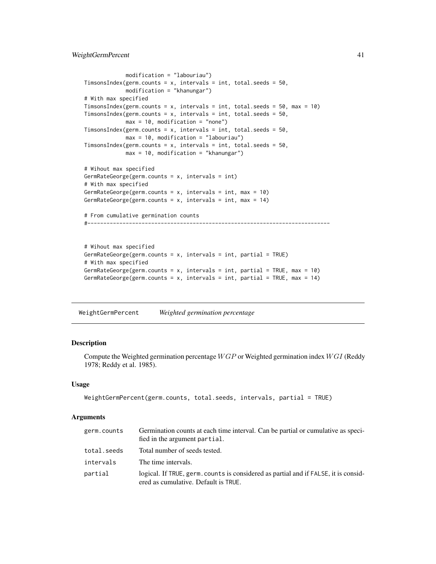```
modification = "labouriau")
TimsonsIndex(germ.counts = x, intervals = int, total.seeds = 50,
             modification = "khanungar")
# With max specified
TimsonsIndex(germ.counts = x, intervals = int, total.seeds = 50, max = 10)
TimsonsIndex(germ.counts = x, intervals = int, total.seeds = 50,
             max = 10, modification = "none")
TimsonsIndex(germ.counts = x, intervals = int, total.seeds = 50,
             max = 10, modification = "labouriau")
TimsonsIndex(germ.counts = x, intervals = int, total.seeds = 50,
             max = 10, modification = "khanungar")
# Wihout max specified
GermRateGeorge(germ.counts = x, intervals = int)
# With max specified
GermRateGeorge(germ.counts = x, intervals = int, max = 10)
GermRateGeorge(germ.counts = x, intervals = int, max = 14)
# From cumulative germination counts
#----------------------------------------------------------------------------
# Wihout max specified
GermRateGeorge(germ.counts = x, intervals = int, partial = TRUE)
# With max specified
GermRateGeorge(germ.counts = x, intervals = int, partial = TRUE, max = 10)
GermRateGeorge(germ.counts = x, intervals = int, partial = TRUE, max = 14)
```
<span id="page-40-1"></span>WeightGermPercent *Weighted germination percentage*

# Description

Compute the Weighted germination percentage  $WGP$  or Weighted germination index  $WGI$  (Reddy 1978; Reddy et al. 1985).

# Usage

```
WeightGermPercent(germ.counts, total.seeds, intervals, partial = TRUE)
```
# Arguments

| germ.counts | Germination counts at each time interval. Can be partial or cumulative as speci-<br>fied in the argument partial.           |
|-------------|-----------------------------------------------------------------------------------------------------------------------------|
| total.seeds | Total number of seeds tested.                                                                                               |
| intervals   | The time intervals.                                                                                                         |
| partial     | logical. If TRUE, germ. counts is considered as partial and if FALSE, it is consid-<br>ered as cumulative. Default is TRUE. |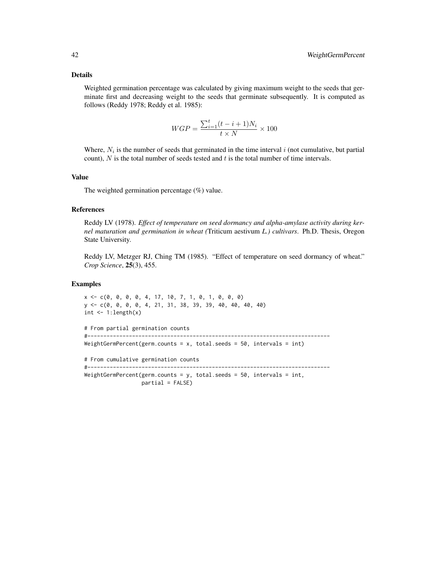# Details

Weighted germination percentage was calculated by giving maximum weight to the seeds that germinate first and decreasing weight to the seeds that germinate subsequently. It is computed as follows (Reddy 1978; Reddy et al. 1985):

$$
WGP = \frac{\sum_{i=1}^{t} (t - i + 1)N_i}{t \times N} \times 100
$$

Where,  $N_i$  is the number of seeds that germinated in the time interval i (not cumulative, but partial count),  $N$  is the total number of seeds tested and  $t$  is the total number of time intervals.

# Value

The weighted germination percentage (%) value.

# References

Reddy LV (1978). *Effect of temperature on seed dormancy and alpha-amylase activity during kernel maturation and germination in wheat (*Triticum aestivum *L.) cultivars*. Ph.D. Thesis, Oregon State University.

Reddy LV, Metzger RJ, Ching TM (1985). "Effect of temperature on seed dormancy of wheat." *Crop Science*, 25(3), 455.

# Examples

 $x \leq -c(0, 0, 0, 0, 4, 17, 10, 7, 1, 0, 1, 0, 0, 0)$ y <- c(0, 0, 0, 0, 4, 21, 31, 38, 39, 39, 40, 40, 40, 40)  $int < -1: length(x)$ # From partial germination counts #---------------------------------------------------------------------------- WeightGermPercent(germ.counts =  $x$ , total.seeds =  $50$ , intervals = int) # From cumulative germination counts #---------------------------------------------------------------------------- WeightGermPercent(germ.counts = y, total.seeds = 50, intervals = int,  $partial = FALSE$ )